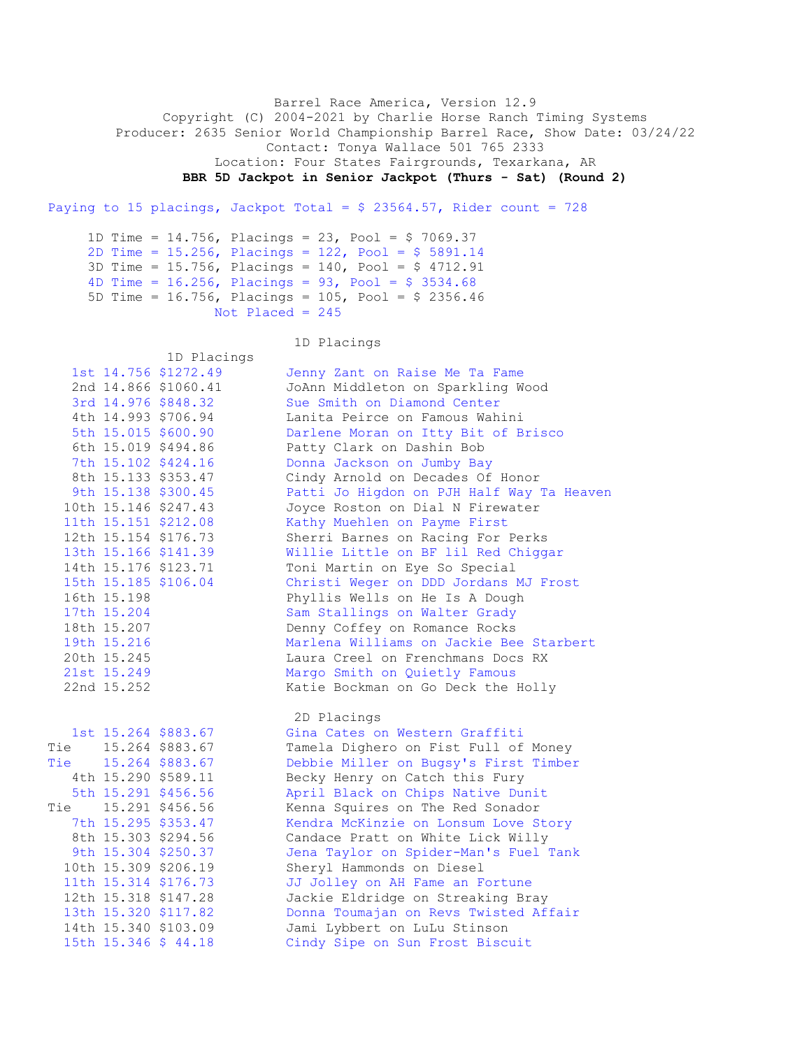Barrel Race America, Version 12.9 Copyright (C) 2004-2021 by Charlie Horse Ranch Timing Systems Producer: 2635 Senior World Championship Barrel Race, Show Date: 03/24/22 Contact: Tonya Wallace 501 765 2333 Location: Four States Fairgrounds, Texarkana, AR **BBR 5D Jackpot in Senior Jackpot (Thurs - Sat) (Round 2)**

Paying to 15 placings, Jackpot Total =  $$23564.57$ , Rider count = 728

 1D Time = 14.756, Placings = 23, Pool = \$ 7069.37 2D Time = 15.256, Placings = 122, Pool = \$ 5891.14 3D Time = 15.756, Placings = 140, Pool = \$ 4712.91 4D Time =  $16.256$ , Placings =  $93$ , Pool =  $$3534.68$  5D Time = 16.756, Placings = 105, Pool = \$ 2356.46 Not Placed =  $245$ 

1D Placings

1D Placings

|     |             | 1st 14.756 \$1272.49 | Jenny Zant on Raise Me Ta Fame            |
|-----|-------------|----------------------|-------------------------------------------|
|     |             | 2nd 14.866 \$1060.41 | JoAnn Middleton on Sparkling Wood         |
|     |             | 3rd 14.976 \$848.32  | Sue Smith on Diamond Center               |
|     |             | 4th 14.993 \$706.94  | Lanita Peirce on Famous Wahini            |
|     |             | 5th 15.015 \$600.90  | Darlene Moran on Itty Bit of Brisco       |
|     |             | 6th 15.019 \$494.86  | Patty Clark on Dashin Bob                 |
|     |             | 7th 15.102 \$424.16  | Donna Jackson on Jumby Bay                |
|     |             | 8th 15.133 \$353.47  | Cindy Arnold on Decades Of Honor          |
|     |             | 9th 15.138 \$300.45  | Patti Jo Higdon on PJH Half Way Ta Heaven |
|     |             | 10th 15.146 \$247.43 | Joyce Roston on Dial N Firewater          |
|     |             | 11th 15.151 \$212.08 | Kathy Muehlen on Payme First              |
|     |             | 12th 15.154 \$176.73 | Sherri Barnes on Racing For Perks         |
|     |             | 13th 15.166 \$141.39 | Willie Little on BF lil Red Chiggar       |
|     |             | 14th 15.176 \$123.71 | Toni Martin on Eye So Special             |
|     |             | 15th 15.185 \$106.04 | Christi Weger on DDD Jordans MJ Frost     |
|     | 16th 15.198 |                      | Phyllis Wells on He Is A Dough            |
|     | 17th 15.204 |                      | Sam Stallings on Walter Grady             |
|     | 18th 15.207 |                      | Denny Coffey on Romance Rocks             |
|     | 19th 15.216 |                      | Marlena Williams on Jackie Bee Starbert   |
|     | 20th 15.245 |                      | Laura Creel on Frenchmans Docs RX         |
|     | 21st 15.249 |                      | Margo Smith on Quietly Famous             |
|     | 22nd 15.252 |                      | Katie Bockman on Go Deck the Holly        |
|     |             |                      | 2D Placings                               |
|     |             | 1st 15.264 \$883.67  | Gina Cates on Western Graffiti            |
|     |             | Tie 15.264 \$883.67  | Tamela Dighero on Fist Full of Money      |
| Tie |             | 15.264 \$883.67      | Debbie Miller on Bugsy's First Timber     |
|     |             | 4th 15.290 \$589.11  | Becky Henry on Catch this Fury            |
|     |             | 5th 15.291 \$456.56  | April Black on Chips Native Dunit         |
| Tie |             | 15.291 \$456.56      | Kenna Squires on The Red Sonador          |
|     |             | 7th 15.295 \$353.47  | Kendra McKinzie on Lonsum Love Story      |
|     |             | 8th 15.303 \$294.56  | Candace Pratt on White Lick Willy         |
|     |             | 9th 15.304 \$250.37  | Jena Taylor on Spider-Man's Fuel Tank     |
|     |             | 10th 15.309 \$206.19 | Sheryl Hammonds on Diesel                 |
|     |             | 11th 15.314 \$176.73 | JJ Jolley on AH Fame an Fortune           |

 12th 15.318 \$147.28 Jackie Eldridge on Streaking Bray 13th 15.320 \$117.82 Donna Toumajan on Revs Twisted Affair

 14th 15.340 \$103.09 Jami Lybbert on LuLu Stinson 15th 15.346 \$ 44.18 Cindy Sipe on Sun Frost Biscuit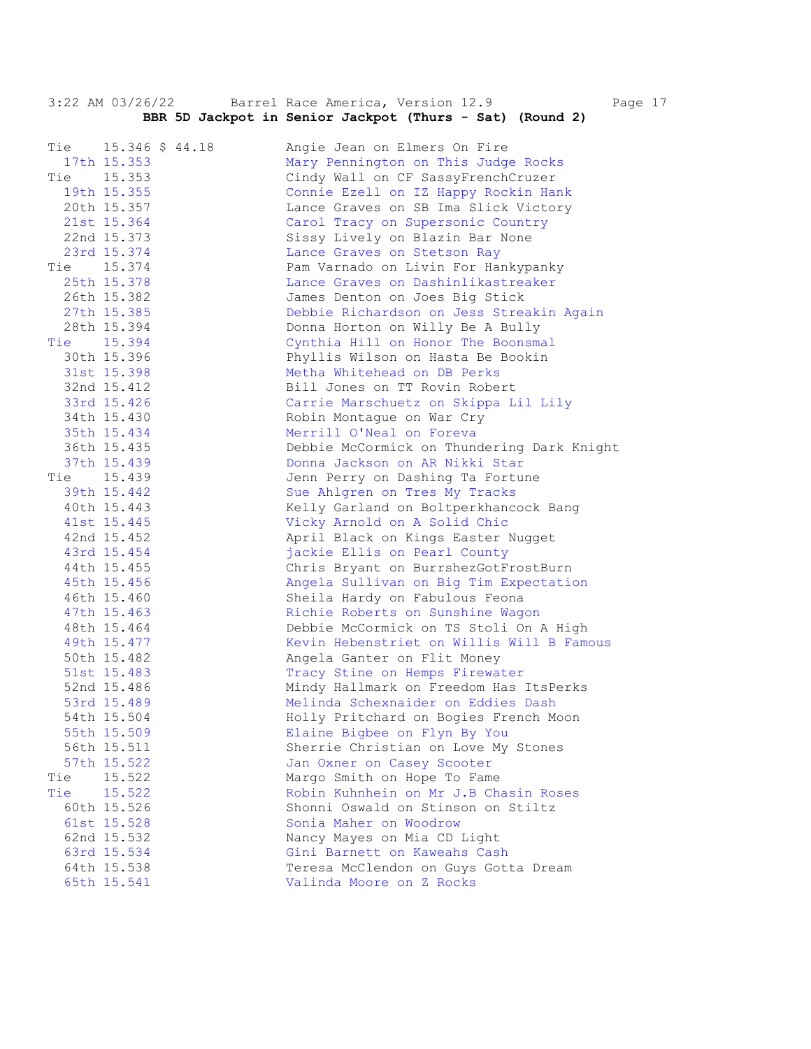3:22 AM 03/26/22 Barrel Race America, Version 12.9 Page 17  **BBR 5D Jackpot in Senior Jackpot (Thurs - Sat) (Round 2)**  Tie 15.346 \$ 44.18 Angie Jean on Elmers On Fire 17th 15.353 Mary Pennington on This Judge Rocks Tie 15.353 Cindy Wall on CF SassyFrenchCruzer 19th 15.355 Connie Ezell on IZ Happy Rockin Hank 20th 15.357 Lance Graves on SB Ima Slick Victory 21st 15.364 Carol Tracy on Supersonic Country 22nd 15.373 Sissy Lively on Blazin Bar None 23rd 15.374 Lance Graves on Stetson Ray Tie 15.374 Pam Varnado on Livin For Hankypanky 25th 15.378 Lance Graves on Dashinlikastreaker 26th 15.382 James Denton on Joes Big Stick 27th 15.385 Debbie Richardson on Jess Streakin Again 28th 15.394 Donna Horton on Willy Be A Bully Tie 15.394 Cynthia Hill on Honor The Boonsmal 30th 15.396 Phyllis Wilson on Hasta Be Bookin 31st 15.398 Metha Whitehead on DB Perks 32nd 15.412 Bill Jones on TT Rovin Robert 33rd 15.426 Carrie Marschuetz on Skippa Lil Lily 34th 15.430 Robin Montague on War Cry 35th 15.434 Merrill O'Neal on Foreva 36th 15.435 Debbie McCormick on Thundering Dark Knight 37th 15.439 Donna Jackson on AR Nikki Star Tie 15.439 Jenn Perry on Dashing Ta Fortune 39th 15.442 Sue Ahlgren on Tres My Tracks 40th 15.443 Kelly Garland on Boltperkhancock Bang 41st 15.445 Vicky Arnold on A Solid Chic 42nd 15.452 April Black on Kings Easter Nugget 43rd 15.454 jackie Ellis on Pearl County 44th 15.455 Chris Bryant on BurrshezGotFrostBurn 45th 15.456 Angela Sullivan on Big Tim Expectation 46th 15.460 Sheila Hardy on Fabulous Feona 47th 15.463 Richie Roberts on Sunshine Wagon 48th 15.464 Debbie McCormick on TS Stoli On A High 49th 15.477 Kevin Hebenstriet on Willis Will B Famous 50th 15.482 Angela Ganter on Flit Money 51st 15.483 Tracy Stine on Hemps Firewater 52nd 15.486 Mindy Hallmark on Freedom Has ItsPerks 53rd 15.489 Melinda Schexnaider on Eddies Dash 54th 15.504 Holly Pritchard on Bogies French Moon 55th 15.509 Elaine Bigbee on Flyn By You 56th 15.511 Sherrie Christian on Love My Stones 57th 15.522 Jan Oxner on Casey Scooter Tie 15.522 Margo Smith on Hope To Fame Tie 15.522 Robin Kuhnhein on Mr J.B Chasin Roses 60th 15.526 Shonni Oswald on Stinson on Stiltz 61st 15.528 Sonia Maher on Woodrow 62nd 15.532 Nancy Mayes on Mia CD Light 63rd 15.534 Gini Barnett on Kaweahs Cash 64th 15.538 Teresa McClendon on Guys Gotta Dream 65th 15.541 Valinda Moore on Z Rocks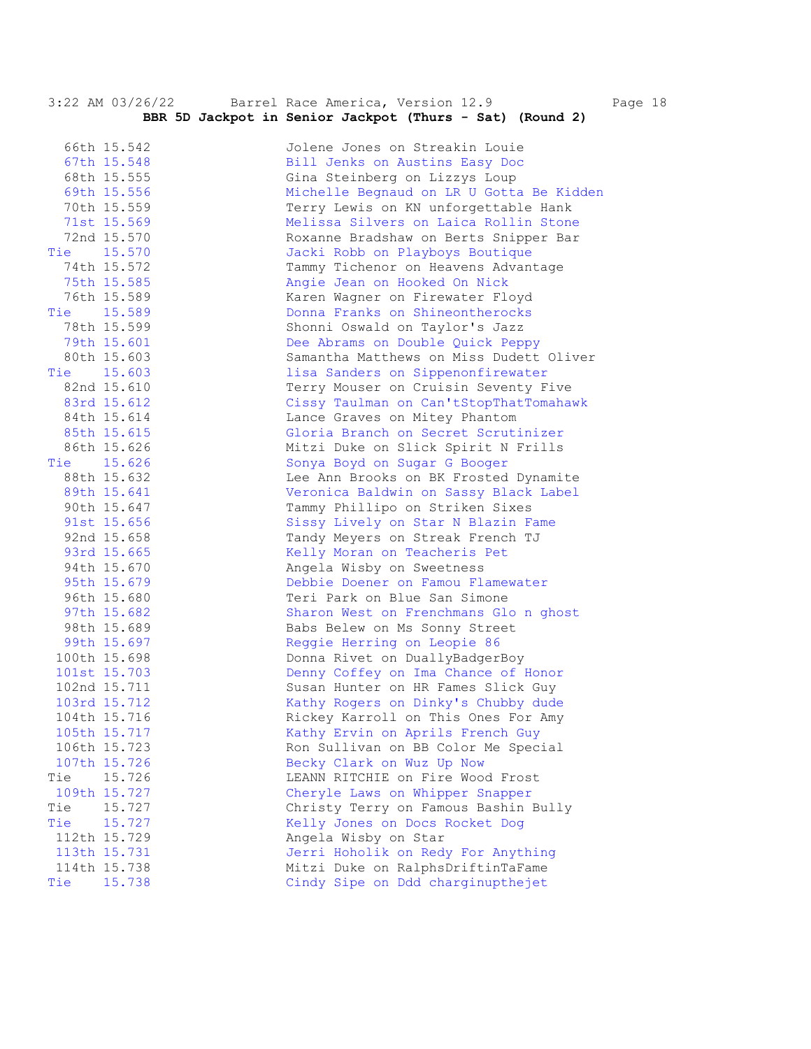|     | 3:22 AM 03/26/22 | Barrel Race America, Version 12.9<br>Page 18<br>BBR 5D Jackpot in Senior Jackpot (Thurs - Sat) (Round 2) |
|-----|------------------|----------------------------------------------------------------------------------------------------------|
|     | 66th 15.542      | Jolene Jones on Streakin Louie                                                                           |
|     | 67th 15.548      | Bill Jenks on Austins Easy Doc                                                                           |
|     | 68th 15.555      | Gina Steinberg on Lizzys Loup                                                                            |
|     | 69th 15.556      | Michelle Begnaud on LR U Gotta Be Kidden                                                                 |
|     | 70th 15.559      | Terry Lewis on KN unforgettable Hank                                                                     |
|     | 71st 15.569      | Melissa Silvers on Laica Rollin Stone                                                                    |
|     | 72nd 15.570      | Roxanne Bradshaw on Berts Snipper Bar                                                                    |
|     | Tie 15.570       | Jacki Robb on Playboys Boutique                                                                          |
|     | 74th 15.572      | Tammy Tichenor on Heavens Advantage                                                                      |
|     | 75th 15.585      | Angie Jean on Hooked On Nick                                                                             |
|     | 76th 15.589      | Karen Wagner on Firewater Floyd                                                                          |
|     | Tie 15.589       | Donna Franks on Shineontherocks                                                                          |
|     | 78th 15.599      | Shonni Oswald on Taylor's Jazz                                                                           |
|     | 79th 15.601      | Dee Abrams on Double Quick Peppy                                                                         |
|     | 80th 15.603      | Samantha Matthews on Miss Dudett Oliver                                                                  |
|     | Tie 15.603       | lisa Sanders on Sippenonfirewater                                                                        |
|     | 82nd 15.610      | Terry Mouser on Cruisin Seventy Five                                                                     |
|     | 83rd 15.612      | Cissy Taulman on Can'tStopThatTomahawk                                                                   |
|     | 84th 15.614      | Lance Graves on Mitey Phantom                                                                            |
|     | 85th 15.615      | Gloria Branch on Secret Scrutinizer                                                                      |
|     | 86th 15.626      | Mitzi Duke on Slick Spirit N Frills                                                                      |
|     | Tie 15.626       | Sonya Boyd on Sugar G Booger                                                                             |
|     | 88th 15.632      | Lee Ann Brooks on BK Frosted Dynamite                                                                    |
|     | 89th 15.641      | Veronica Baldwin on Sassy Black Label                                                                    |
|     | 90th 15.647      | Tammy Phillipo on Striken Sixes                                                                          |
|     | 91st 15.656      | Sissy Lively on Star N Blazin Fame                                                                       |
|     | 92nd 15.658      | Tandy Meyers on Streak French TJ                                                                         |
|     | 93rd 15.665      | Kelly Moran on Teacheris Pet                                                                             |
|     | 94th 15.670      | Angela Wisby on Sweetness                                                                                |
|     | 95th 15.679      | Debbie Doener on Famou Flamewater                                                                        |
|     | 96th 15.680      | Teri Park on Blue San Simone                                                                             |
|     | 97th 15.682      | Sharon West on Frenchmans Glo n ghost                                                                    |
|     | 98th 15.689      | Babs Belew on Ms Sonny Street                                                                            |
|     | 99th 15.697      | Reggie Herring on Leopie 86                                                                              |
|     | 100th 15.698     | Donna Rivet on DuallyBadgerBoy                                                                           |
|     | 101st 15.703     | Denny Coffey on Ima Chance of Honor                                                                      |
|     | 102nd 15.711     | Susan Hunter on HR Fames Slick Guy                                                                       |
|     | 103rd 15.712     | Kathy Rogers on Dinky's Chubby dude                                                                      |
|     | 104th 15.716     | Rickey Karroll on This Ones For Amy                                                                      |
|     | 105th 15.717     | Kathy Ervin on Aprils French Guy                                                                         |
|     | 106th 15.723     | Ron Sullivan on BB Color Me Special                                                                      |
|     | 107th 15.726     | Becky Clark on Wuz Up Now                                                                                |
| Tie | 15.726           | LEANN RITCHIE on Fire Wood Frost                                                                         |
|     | 109th 15.727     | Cheryle Laws on Whipper Snapper                                                                          |
| Tie | 15.727           | Christy Terry on Famous Bashin Bully                                                                     |
| Tie | 15.727           | Kelly Jones on Docs Rocket Dog                                                                           |
|     | 112th 15.729     | Angela Wisby on Star                                                                                     |
|     | 113th 15.731     | Jerri Hoholik on Redy For Anything                                                                       |
|     | 114th 15.738     | Mitzi Duke on RalphsDriftinTaFame                                                                        |
| Tie | 15.738           | Cindy Sipe on Ddd charginupthejet                                                                        |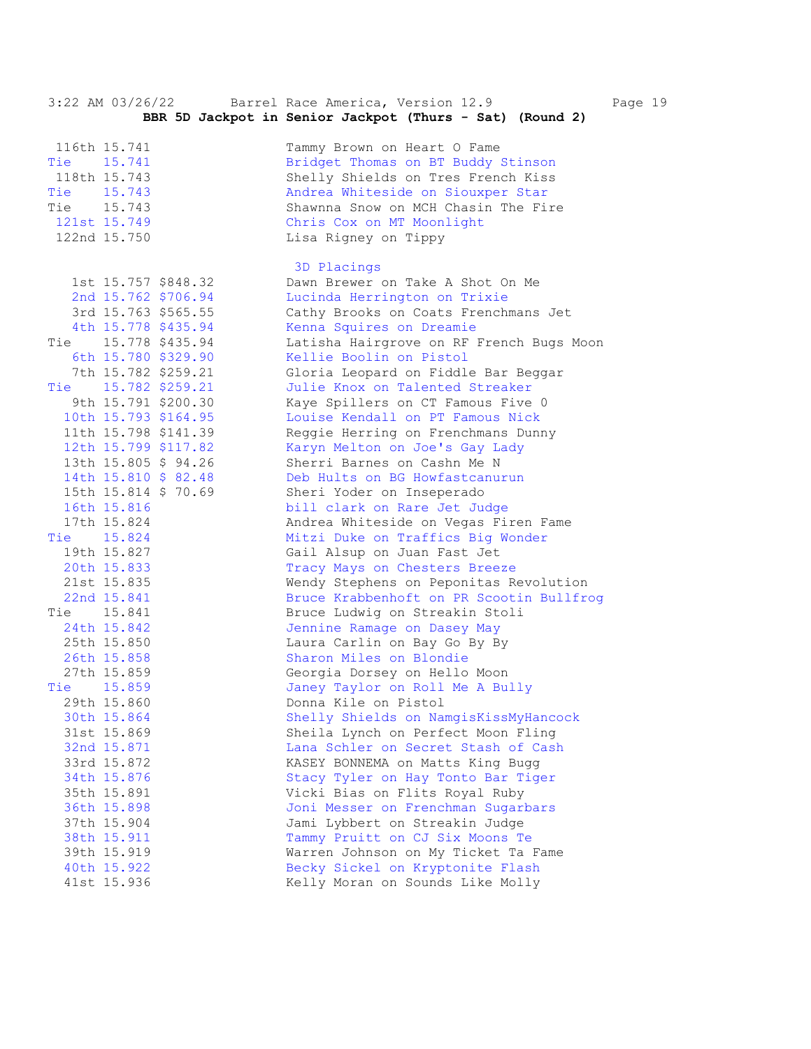3:22 AM 03/26/22 Barrel Race America, Version 12.9 Page 19  **BBR 5D Jackpot in Senior Jackpot (Thurs - Sat) (Round 2)**  116th 15.741 Tammy Brown on Heart O Fame Tie 15.741 Bridget Thomas on BT Buddy Stinson 118th 15.743 Shelly Shields on Tres French Kiss Tie 15.743 Andrea Whiteside on Siouxper Star Tie 15.743 Shawnna Snow on MCH Chasin The Fire 121st 15.749 Chris Cox on MT Moonlight 122nd 15.750 Lisa Rigney on Tippy 3D Placings 1st 15.757 \$848.32 Dawn Brewer on Take A Shot On Me<br>
2nd 15.762 \$706.94 Lucinda Herrington on Trixie 2nd 15.762 \$706.94 Lucinda Herrington on Trixie 3rd 15.763 \$565.55 Cathy Brooks on Coats Frenchmans Jet 4th 15.778 \$435.94 Kenna Squires on Dreamie Tie 15.778 \$435.94 Latisha Hairgrove on RF French Bugs Moon 6th 15.780 \$329.90 Kellie Boolin on Pistol 7th 15.782 \$259.21 Gloria Leopard on Fiddle Bar Beggar Tie 15.782 \$259.21 Julie Knox on Talented Streaker 9th 15.791 \$200.30 Kaye Spillers on CT Famous Five 0 10th 15.793 \$164.95 Louise Kendall on PT Famous Nick 11th 15.798 \$141.39 Reggie Herring on Frenchmans Dunny 12th 15.799 \$117.82 Karyn Melton on Joe's Gay Lady 13th 15.805 \$ 94.26 Sherri Barnes on Cashn Me N 14th 15.810 \$ 82.48 Deb Hults on BG Howfastcanurun 15th 15.814 \$ 70.69 Sheri Yoder on Inseperado 16th 15.816 bill clark on Rare Jet Judge 17th 15.824 Andrea Whiteside on Vegas Firen Fame Tie 15.824 Mitzi Duke on Traffics Big Wonder 19th 15.827 Gail Alsup on Juan Fast Jet 20th 15.833 Tracy Mays on Chesters Breeze 21st 15.835 Wendy Stephens on Peponitas Revolution 22nd 15.841 Bruce Krabbenhoft on PR Scootin Bullfrog Tie 15.841 Bruce Ludwig on Streakin Stoli 24th 15.842 Jennine Ramage on Dasey May 25th 15.850 Laura Carlin on Bay Go By By 26th 15.858 Sharon Miles on Blondie 27th 15.859 Georgia Dorsey on Hello Moon Tie 15.859 Janey Taylor on Roll Me A Bully 29th 15.860 Donna Kile on Pistol 30th 15.864 Shelly Shields on NamgisKissMyHancock 31st 15.869 Sheila Lynch on Perfect Moon Fling 32nd 15.871 Lana Schler on Secret Stash of Cash 33rd 15.872 KASEY BONNEMA on Matts King Bugg 34th 15.876 Stacy Tyler on Hay Tonto Bar Tiger 35th 15.891 Vicki Bias on Flits Royal Ruby 36th 15.898 Joni Messer on Frenchman Sugarbars 37th 15.904 Jami Lybbert on Streakin Judge 38th 15.911 Tammy Pruitt on CJ Six Moons Te 39th 15.919 Warren Johnson on My Ticket Ta Fame 40th 15.922 Becky Sickel on Kryptonite Flash 41st 15.936 Kelly Moran on Sounds Like Molly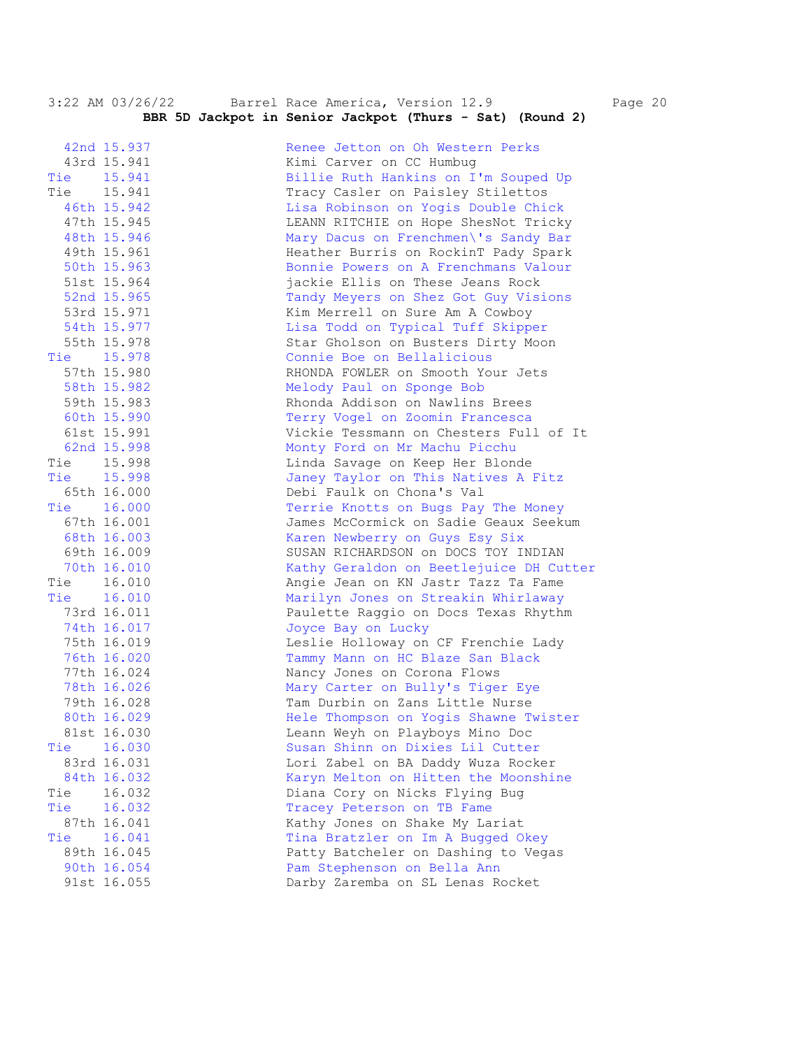|     |             | $3.22$ AM $03/20/22$ Dallel Nace America, version $12.9$<br>Fс |
|-----|-------------|----------------------------------------------------------------|
|     |             | BBR 5D Jackpot in Senior Jackpot (Thurs - Sat) (Round 2)       |
|     | 42nd 15.937 | Renee Jetton on Oh Western Perks                               |
|     | 43rd 15.941 | Kimi Carver on CC Humbug                                       |
|     | Tie 15.941  | Billie Ruth Hankins on I'm Souped Up                           |
|     | Tie 15.941  | Tracy Casler on Paisley Stilettos                              |
|     | 46th 15.942 | Lisa Robinson on Yogis Double Chick                            |
|     | 47th 15.945 | LEANN RITCHIE on Hope ShesNot Tricky                           |
|     | 48th 15.946 | Mary Dacus on Frenchmen\'s Sandy Bar                           |
|     | 49th 15.961 | Heather Burris on RockinT Pady Spark                           |
|     | 50th 15.963 | Bonnie Powers on A Frenchmans Valour                           |
|     | 51st 15.964 | jackie Ellis on These Jeans Rock                               |
|     | 52nd 15.965 | Tandy Meyers on Shez Got Guy Visions                           |
|     | 53rd 15.971 | Kim Merrell on Sure Am A Cowboy                                |
|     | 54th 15.977 | Lisa Todd on Typical Tuff Skipper                              |
|     | 55th 15.978 | Star Gholson on Busters Dirty Moon                             |
|     | Tie 15.978  | Connie Boe on Bellalicious                                     |
|     | 57th 15.980 | RHONDA FOWLER on Smooth Your Jets                              |
|     | 58th 15.982 | Melody Paul on Sponge Bob                                      |
|     | 59th 15.983 | Rhonda Addison on Nawlins Brees                                |
|     | 60th 15.990 | Terry Vogel on Zoomin Francesca                                |
|     | 61st 15.991 | Vickie Tessmann on Chesters Full of It                         |
|     | 62nd 15.998 | Monty Ford on Mr Machu Picchu                                  |
|     | Tie 15.998  | Linda Savage on Keep Her Blonde                                |
|     | Tie 15.998  | Janey Taylor on This Natives A Fitz                            |
|     | 65th 16.000 | Debi Faulk on Chona's Val                                      |
|     | Tie 16.000  | Terrie Knotts on Bugs Pay The Money                            |
|     | 67th 16.001 | James McCormick on Sadie Geaux Seekum                          |
|     | 68th 16.003 | Karen Newberry on Guys Esy Six                                 |
|     | 69th 16.009 | SUSAN RICHARDSON on DOCS TOY INDIAN                            |
|     | 70th 16.010 | Kathy Geraldon on Beetlejuice DH Cutter                        |
|     | Tie 16.010  | Angie Jean on KN Jastr Tazz Ta Fame                            |
|     | Tie 16.010  | Marilyn Jones on Streakin Whirlaway                            |
|     | 73rd 16.011 | Paulette Raggio on Docs Texas Rhythm                           |
|     | 74th 16.017 | Joyce Bay on Lucky                                             |
|     | 75th 16.019 | Leslie Holloway on CF Frenchie Lady                            |
|     | 76th 16.020 | Tammy Mann on HC Blaze San Black                               |
|     | 77th 16.024 | Nancy Jones on Corona Flows                                    |
|     | 78th 16.026 | Mary Carter on Bully's Tiger Eye                               |
|     | 79th 16.028 | Tam Durbin on Zans Little Nurse                                |
|     | 80th 16.029 | Hele Thompson on Yogis Shawne Twister                          |
|     | 81st 16.030 | Leann Weyh on Playboys Mino Doc                                |
| Tie | 16.030      | Susan Shinn on Dixies Lil Cutter                               |
|     | 83rd 16.031 | Lori Zabel on BA Daddy Wuza Rocker                             |
|     | 84th 16.032 | Karyn Melton on Hitten the Moonshine                           |
| Tie | 16.032      | Diana Cory on Nicks Flying Bug                                 |
| Tie | 16.032      | Tracey Peterson on TB Fame                                     |
|     | 87th 16.041 | Kathy Jones on Shake My Lariat                                 |
| Tie | 16.041      | Tina Bratzler on Im A Bugged Okey                              |
|     | 89th 16.045 | Patty Batcheler on Dashing to Vegas                            |
|     | 90th 16.054 | Pam Stephenson on Bella Ann                                    |
|     | 91st 16.055 | Darby Zaremba on SL Lenas Rocket                               |

3:22 AM 03/26/22 Barrel Race America, Version 12.9 Page 20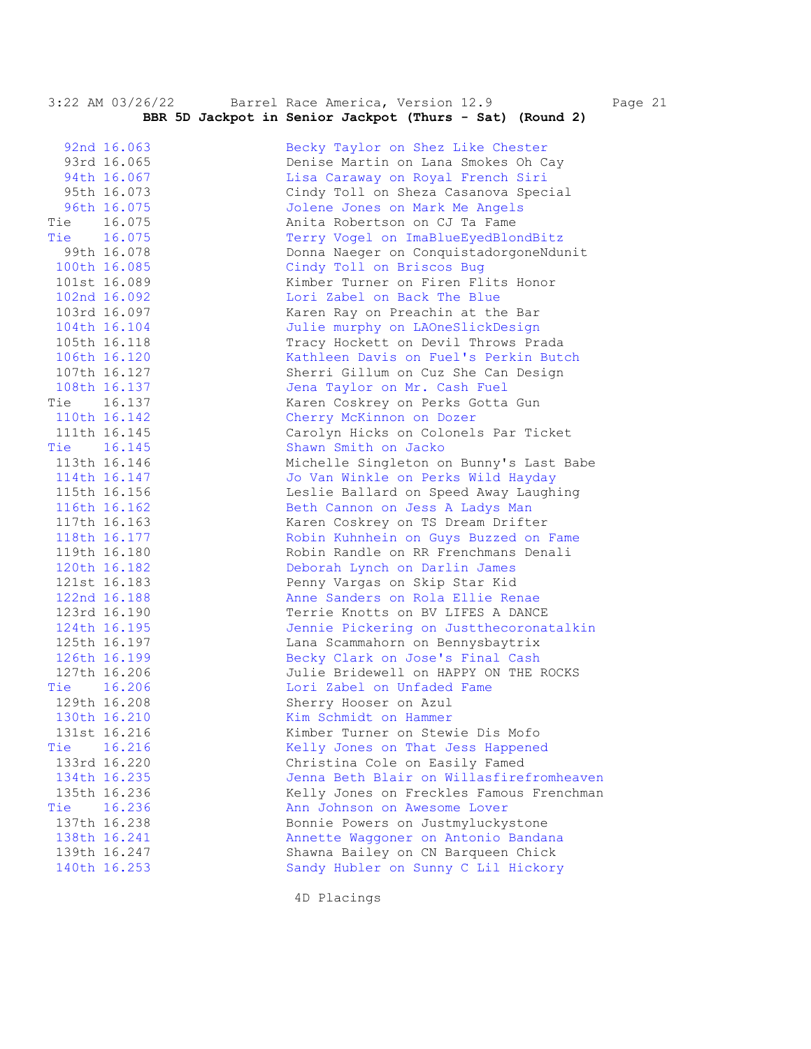|            | 3:22 AM 03/26/22 | Barrel Race America, Version 12.9<br>BBR 5D Jackpot in Senior Jackpot (Thurs - Sat) (Round 2) | Page 21 |
|------------|------------------|-----------------------------------------------------------------------------------------------|---------|
|            |                  |                                                                                               |         |
|            | 92nd 16.063      | Becky Taylor on Shez Like Chester                                                             |         |
|            | 93rd 16.065      | Denise Martin on Lana Smokes Oh Cay                                                           |         |
|            | 94th 16.067      | Lisa Caraway on Royal French Siri                                                             |         |
|            | 95th 16.073      | Cindy Toll on Sheza Casanova Special                                                          |         |
|            | 96th 16.075      | Jolene Jones on Mark Me Angels                                                                |         |
| Tie 16.075 |                  | Anita Robertson on CJ Ta Fame                                                                 |         |
| Tie 16.075 |                  | Terry Vogel on ImaBlueEyedBlondBitz                                                           |         |
|            | 99th 16.078      | Donna Naeger on ConquistadorgoneNdunit                                                        |         |
|            | 100th 16.085     | Cindy Toll on Briscos Bug                                                                     |         |
|            | 101st 16.089     | Kimber Turner on Firen Flits Honor                                                            |         |
|            | 102nd 16.092     | Lori Zabel on Back The Blue                                                                   |         |
|            | 103rd 16.097     | Karen Ray on Preachin at the Bar                                                              |         |
|            | 104th 16.104     | Julie murphy on LAOneSlickDesign                                                              |         |
|            | 105th 16.118     | Tracy Hockett on Devil Throws Prada                                                           |         |
|            | 106th 16.120     | Kathleen Davis on Fuel's Perkin Butch                                                         |         |
|            | 107th 16.127     | Sherri Gillum on Cuz She Can Design                                                           |         |
|            | 108th 16.137     | Jena Taylor on Mr. Cash Fuel                                                                  |         |
|            | Tie 16.137       | Karen Coskrey on Perks Gotta Gun                                                              |         |
|            | 110th 16.142     | Cherry McKinnon on Dozer                                                                      |         |
|            | 111th 16.145     | Carolyn Hicks on Colonels Par Ticket                                                          |         |
| Tie 16.145 |                  | Shawn Smith on Jacko                                                                          |         |
|            | 113th 16.146     | Michelle Singleton on Bunny's Last Babe                                                       |         |
|            | 114th 16.147     | Jo Van Winkle on Perks Wild Hayday                                                            |         |
|            | 115th 16.156     | Leslie Ballard on Speed Away Laughing                                                         |         |
|            | 116th 16.162     | Beth Cannon on Jess A Ladys Man                                                               |         |
|            | 117th 16.163     | Karen Coskrey on TS Dream Drifter                                                             |         |
|            | 118th 16.177     | Robin Kuhnhein on Guys Buzzed on Fame                                                         |         |
|            | 119th 16.180     | Robin Randle on RR Frenchmans Denali                                                          |         |
|            | 120th 16.182     | Deborah Lynch on Darlin James                                                                 |         |
|            | 121st 16.183     | Penny Vargas on Skip Star Kid                                                                 |         |
|            | 122nd 16.188     | Anne Sanders on Rola Ellie Renae                                                              |         |
|            | 123rd 16.190     | Terrie Knotts on BV LIFES A DANCE                                                             |         |
|            | 124th 16.195     | Jennie Pickering on Justthecoronatalkin                                                       |         |
|            | 125th 16.197     | Lana Scammahorn on Bennysbaytrix                                                              |         |
|            | 126th 16.199     | Becky Clark on Jose's Final Cash                                                              |         |
|            | 127th 16.206     | Julie Bridewell on HAPPY ON THE ROCKS                                                         |         |
| Tie        | 16.206           | Lori Zabel on Unfaded Fame                                                                    |         |
|            | 129th 16.208     | Sherry Hooser on Azul                                                                         |         |
|            | 130th 16.210     | Kim Schmidt on Hammer                                                                         |         |
|            | 131st 16.216     | Kimber Turner on Stewie Dis Mofo                                                              |         |
| Tie        | 16.216           | Kelly Jones on That Jess Happened                                                             |         |
|            | 133rd 16.220     | Christina Cole on Easily Famed                                                                |         |
|            | 134th 16.235     | Jenna Beth Blair on Willasfirefromheaven                                                      |         |
|            | 135th 16.236     | Kelly Jones on Freckles Famous Frenchman                                                      |         |
| Tie        | 16.236           | Ann Johnson on Awesome Lover                                                                  |         |
|            | 137th 16.238     | Bonnie Powers on Justmyluckystone                                                             |         |
|            | 138th 16.241     | Annette Waggoner on Antonio Bandana                                                           |         |
|            | 139th 16.247     | Shawna Bailey on CN Barqueen Chick                                                            |         |
|            | 140th 16.253     | Sandy Hubler on Sunny C Lil Hickory                                                           |         |
|            |                  |                                                                                               |         |

4D Placings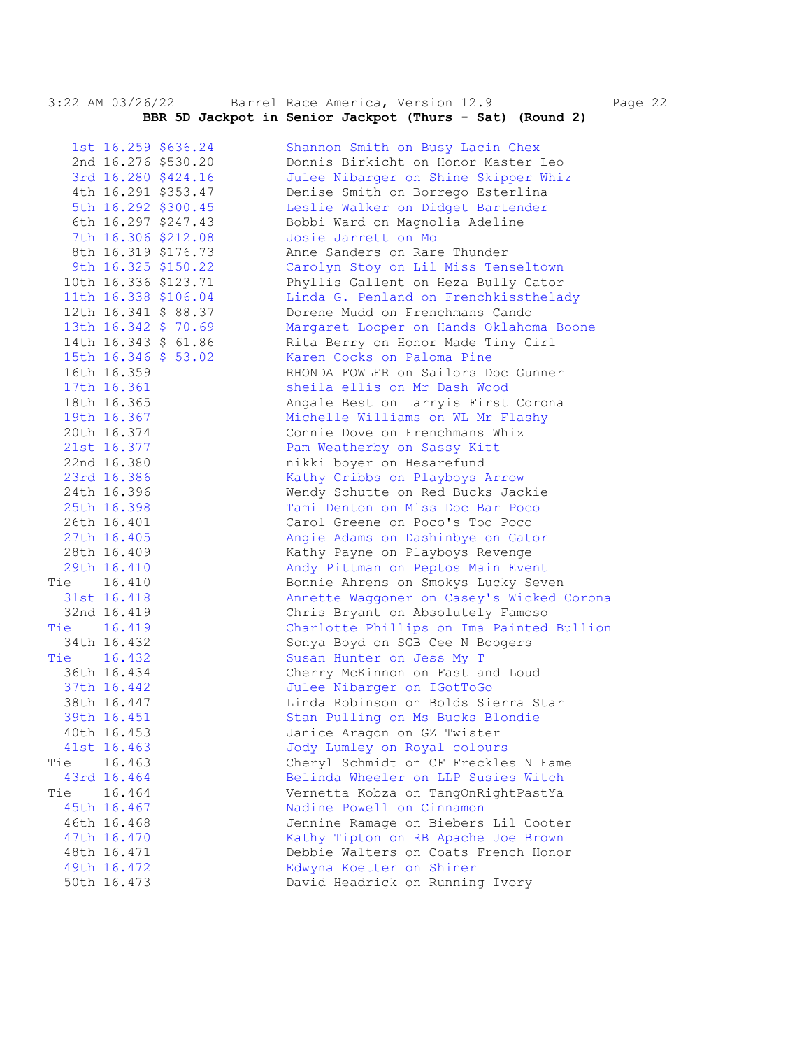3:22 AM 03/26/22 Barrel Race America, Version 12.9 Page 22  **BBR 5D Jackpot in Senior Jackpot (Thurs - Sat) (Round 2)** 

 1st 16.259 \$636.24 Shannon Smith on Busy Lacin Chex 2nd 16.276 \$530.20 Donnis Birkicht on Honor Master Leo 3rd 16.280 \$424.16 Julee Nibarger on Shine Skipper Whiz 4th 16.291 \$353.47 Denise Smith on Borrego Esterlina 5th 16.292 \$300.45 Leslie Walker on Didget Bartender 6th 16.297 \$247.43 Bobbi Ward on Magnolia Adeline 7th 16.306 \$212.08 Josie Jarrett on Mo 8th 16.319 \$176.73 Anne Sanders on Rare Thunder 9th 16.325 \$150.22 Carolyn Stoy on Lil Miss Tenseltown 10th 16.336 \$123.71 Phyllis Gallent on Heza Bully Gator 11th 16.338 \$106.04 Linda G. Penland on Frenchkissthelady 12th 16.341 \$ 88.37 Dorene Mudd on Frenchmans Cando 13th 16.342 \$ 70.69 Margaret Looper on Hands Oklahoma Boone 14th 16.343 \$ 61.86 Rita Berry on Honor Made Tiny Girl 15th 16.346 \$ 53.02 Karen Cocks on Paloma Pine 16th 16.359 RHONDA FOWLER on Sailors Doc Gunner 17th 16.361 sheila ellis on Mr Dash Wood 18th 16.365 Angale Best on Larryis First Corona 19th 16.367 Michelle Williams on WL Mr Flashy 20th 16.374 Connie Dove on Frenchmans Whiz 21st 16.377 Pam Weatherby on Sassy Kitt 22nd 16.380 nikki boyer on Hesarefund 23rd 16.386 Kathy Cribbs on Playboys Arrow 24th 16.396 Wendy Schutte on Red Bucks Jackie 25th 16.398 Tami Denton on Miss Doc Bar Poco 26th 16.401 Carol Greene on Poco's Too Poco 27th 16.405 Angie Adams on Dashinbye on Gator 28th 16.409 Kathy Payne on Playboys Revenge 29th 16.410 Andy Pittman on Peptos Main Event Tie 16.410 Bonnie Ahrens on Smokys Lucky Seven 31st 16.418 Annette Waggoner on Casey's Wicked Corona 32nd 16.419 Chris Bryant on Absolutely Famoso Tie 16.419 Charlotte Phillips on Ima Painted Bullion 34th 16.432 Sonya Boyd on SGB Cee N Boogers Tie 16.432 Susan Hunter on Jess My T 36th 16.434 Cherry McKinnon on Fast and Loud 37th 16.442 Julee Nibarger on IGotToGo 38th 16.447 Linda Robinson on Bolds Sierra Star 39th 16.451 Stan Pulling on Ms Bucks Blondie 40th 16.453 Janice Aragon on GZ Twister 41st 16.463 Jody Lumley on Royal colours Tie 16.463 Cheryl Schmidt on CF Freckles N Fame 43rd 16.464 Belinda Wheeler on LLP Susies Witch Tie 16.464 Vernetta Kobza on TangOnRightPastYa 45th 16.467 Nadine Powell on Cinnamon 46th 16.468 Jennine Ramage on Biebers Lil Cooter 47th 16.470 Kathy Tipton on RB Apache Joe Brown 48th 16.471 Debbie Walters on Coats French Honor 49th 16.472 Edwyna Koetter on Shiner 50th 16.473 David Headrick on Running Ivory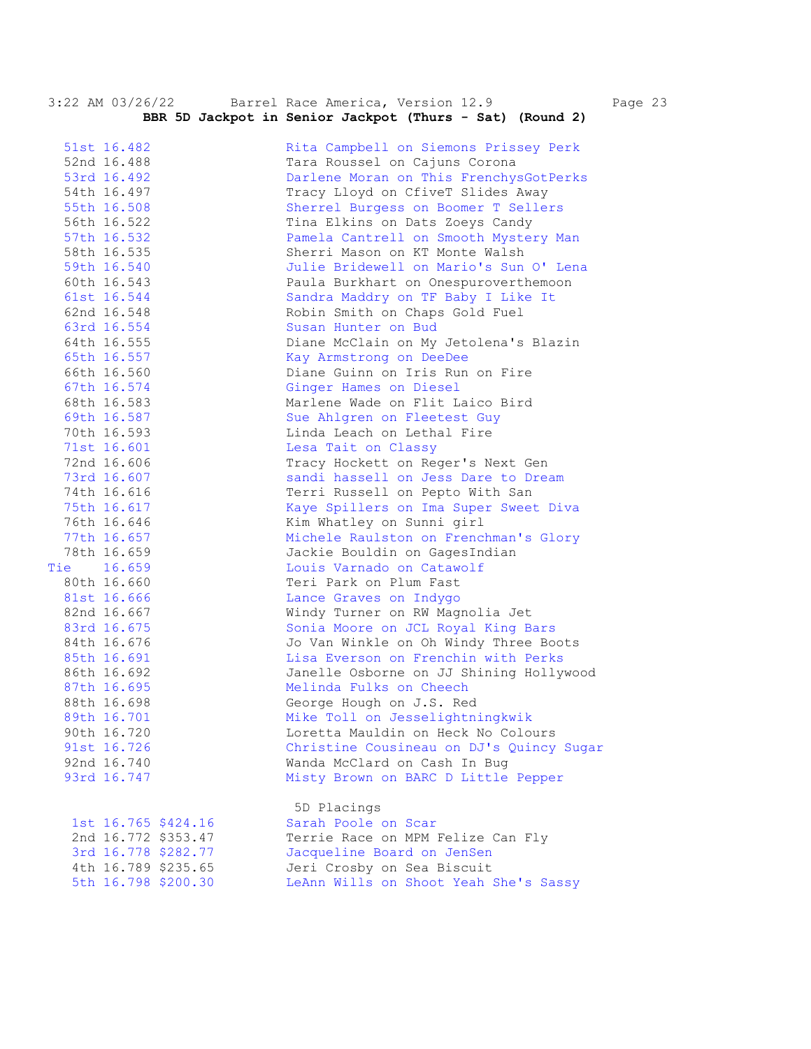| 3:22 AM 03/26/22    |  | Barrel Race America, Version 12.9                        | Page 23 |
|---------------------|--|----------------------------------------------------------|---------|
|                     |  | BBR 5D Jackpot in Senior Jackpot (Thurs - Sat) (Round 2) |         |
| 51st 16.482         |  | Rita Campbell on Siemons Prissey Perk                    |         |
| 52nd 16.488         |  | Tara Roussel on Cajuns Corona                            |         |
| 53rd 16.492         |  | Darlene Moran on This FrenchysGotPerks                   |         |
| 54th 16.497         |  | Tracy Lloyd on CfiveT Slides Away                        |         |
| 55th 16.508         |  | Sherrel Burgess on Boomer T Sellers                      |         |
| 56th 16.522         |  | Tina Elkins on Dats Zoeys Candy                          |         |
| 57th 16.532         |  | Pamela Cantrell on Smooth Mystery Man                    |         |
| 58th 16.535         |  | Sherri Mason on KT Monte Walsh                           |         |
| 59th 16.540         |  | Julie Bridewell on Mario's Sun O' Lena                   |         |
| 60th 16.543         |  | Paula Burkhart on Onespuroverthemoon                     |         |
| 61st 16.544         |  | Sandra Maddry on TF Baby I Like It                       |         |
| 62nd 16.548         |  | Robin Smith on Chaps Gold Fuel                           |         |
| 63rd 16.554         |  | Susan Hunter on Bud                                      |         |
| 64th 16.555         |  | Diane McClain on My Jetolena's Blazin                    |         |
| 65th 16.557         |  | Kay Armstrong on DeeDee                                  |         |
| 66th 16.560         |  | Diane Guinn on Iris Run on Fire                          |         |
| 67th 16.574         |  | Ginger Hames on Diesel                                   |         |
| 68th 16.583         |  | Marlene Wade on Flit Laico Bird                          |         |
| 69th 16.587         |  | Sue Ahlgren on Fleetest Guy                              |         |
| 70th 16.593         |  | Linda Leach on Lethal Fire                               |         |
| 71st 16.601         |  | Lesa Tait on Classy                                      |         |
| 72nd 16.606         |  | Tracy Hockett on Reger's Next Gen                        |         |
| 73rd 16.607         |  | sandi hassell on Jess Dare to Dream                      |         |
| 74th 16.616         |  | Terri Russell on Pepto With San                          |         |
| 75th 16.617         |  | Kaye Spillers on Ima Super Sweet Diva                    |         |
| 76th 16.646         |  | Kim Whatley on Sunni girl                                |         |
| 77th 16.657         |  | Michele Raulston on Frenchman's Glory                    |         |
| 78th 16.659         |  | Jackie Bouldin on GagesIndian                            |         |
| Tie 16.659          |  | Louis Varnado on Catawolf                                |         |
| 80th 16.660         |  | Teri Park on Plum Fast                                   |         |
| 81st 16.666         |  | Lance Graves on Indygo                                   |         |
| 82nd 16.667         |  | Windy Turner on RW Magnolia Jet                          |         |
| 83rd 16.675         |  | Sonia Moore on JCL Royal King Bars                       |         |
| 84th 16.676         |  | Jo Van Winkle on Oh Windy Three Boots                    |         |
| 85th 16.691         |  | Lisa Everson on Frenchin with Perks                      |         |
| 86th 16.692         |  | Janelle Osborne on JJ Shining Hollywood                  |         |
| 87th 16.695         |  | Melinda Fulks on Cheech                                  |         |
| 88th 16.698         |  | George Hough on J.S. Red                                 |         |
| 89th 16.701         |  | Mike Toll on Jesselightningkwik                          |         |
| 90th 16.720         |  | Loretta Mauldin on Heck No Colours                       |         |
| 91st 16.726         |  | Christine Cousineau on DJ's Quincy Sugar                 |         |
| 92nd 16.740         |  | Wanda McClard on Cash In Bug                             |         |
| 93rd 16.747         |  | Misty Brown on BARC D Little Pepper                      |         |
|                     |  | 5D Placings                                              |         |
| 1st 16.765 \$424.16 |  | Sarah Poole on Scar                                      |         |
| 2nd 16.772 \$353.47 |  | Terrie Race on MPM Felize Can Fly                        |         |
| 3rd 16.778 \$282.77 |  | Jacqueline Board on JenSen                               |         |
| 4th 16.789 \$235.65 |  | Jeri Crosby on Sea Biscuit                               |         |
| 5th 16.798 \$200.30 |  | LeAnn Wills on Shoot Yeah She's Sassy                    |         |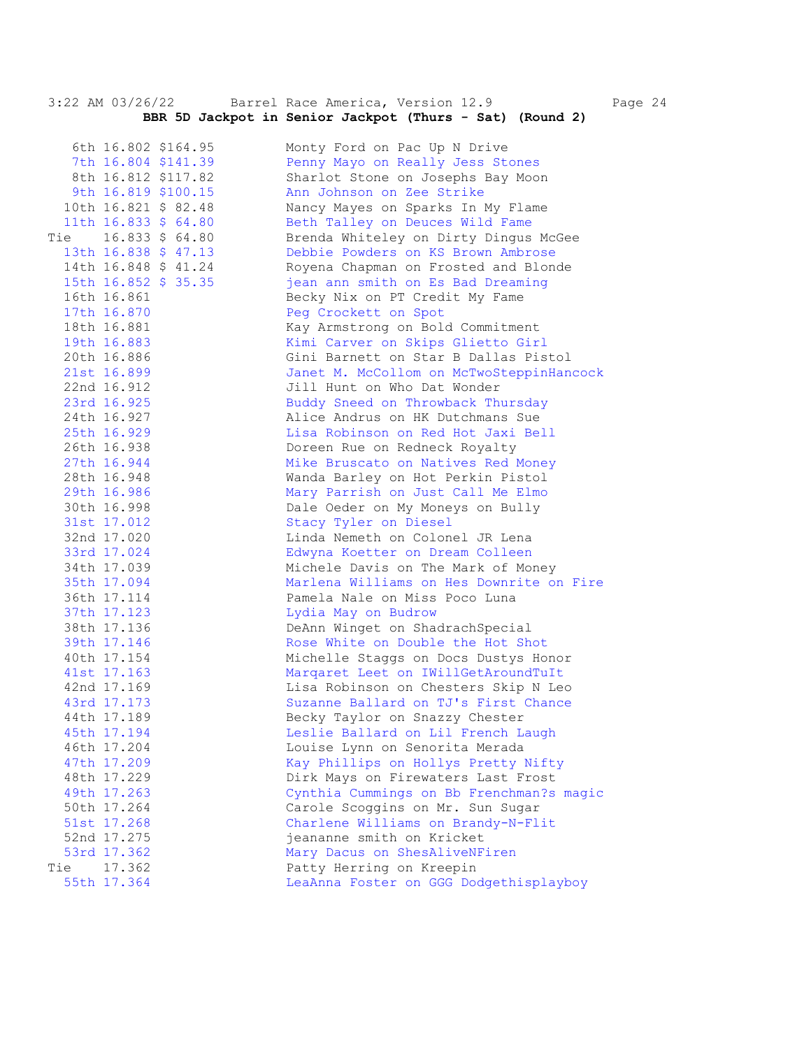3:22 AM 03/26/22 Barrel Race America, Version 12.9 Page 24  **BBR 5D Jackpot in Senior Jackpot (Thurs - Sat) (Round 2)** 

|     |                            | 6th 16.802 \$164.95  | Monty Ford on Pac Up N Drive                                          |
|-----|----------------------------|----------------------|-----------------------------------------------------------------------|
|     |                            | 7th 16.804 \$141.39  | Penny Mayo on Really Jess Stones                                      |
|     |                            | 8th 16.812 \$117.82  | Sharlot Stone on Josephs Bay Moon                                     |
|     |                            | 9th 16.819 \$100.15  | Ann Johnson on Zee Strike                                             |
|     |                            | 10th 16.821 \$ 82.48 | Nancy Mayes on Sparks In My Flame                                     |
|     |                            | 11th 16.833 \$ 64.80 | Beth Talley on Deuces Wild Fame                                       |
|     |                            | Tie 16.833 \$ 64.80  | Brenda Whiteley on Dirty Dingus McGee                                 |
|     |                            | 13th 16.838 \$ 47.13 | Debbie Powders on KS Brown Ambrose                                    |
|     |                            | 14th 16.848 \$ 41.24 | Royena Chapman on Frosted and Blonde                                  |
|     |                            | 15th 16.852 \$ 35.35 | jean ann smith on Es Bad Dreaming                                     |
|     | 16th 16.861                |                      | Becky Nix on PT Credit My Fame                                        |
|     | 17th 16.870                |                      | Peg Crockett on Spot                                                  |
|     | 18th 16.881                |                      | Kay Armstrong on Bold Commitment                                      |
|     | 19th 16.883                |                      | Kimi Carver on Skips Glietto Girl                                     |
|     | 20th 16.886                |                      | Gini Barnett on Star B Dallas Pistol                                  |
|     | 21st 16.899                |                      | Janet M. McCollom on McTwoSteppinHancock                              |
|     | 22nd 16.912                |                      | Jill Hunt on Who Dat Wonder                                           |
|     | 23rd 16.925                |                      | Buddy Sneed on Throwback Thursday                                     |
|     | 24th 16.927                |                      | Alice Andrus on HK Dutchmans Sue                                      |
|     | 25th 16.929                |                      | Lisa Robinson on Red Hot Jaxi Bell                                    |
|     | 26th 16.938                |                      | Doreen Rue on Redneck Royalty                                         |
|     | 27th 16.944                |                      | Mike Bruscato on Natives Red Money                                    |
|     | 28th 16.948                |                      | Wanda Barley on Hot Perkin Pistol                                     |
|     | 29th 16.986                |                      | Mary Parrish on Just Call Me Elmo                                     |
|     | 30th 16.998                |                      | Dale Oeder on My Moneys on Bully                                      |
|     | 31st 17.012                |                      | Stacy Tyler on Diesel                                                 |
|     | 32nd 17.020                |                      | Linda Nemeth on Colonel JR Lena                                       |
|     | 33rd 17.024                |                      |                                                                       |
|     |                            |                      | Edwyna Koetter on Dream Colleen<br>Michele Davis on The Mark of Money |
|     | 34th 17.039                |                      | Marlena Williams on Hes Downrite on Fire                              |
|     | 35th 17.094<br>36th 17.114 |                      | Pamela Nale on Miss Poco Luna                                         |
|     | 37th 17.123                |                      | Lydia May on Budrow                                                   |
|     |                            |                      |                                                                       |
|     | 38th 17.136                |                      | DeAnn Winget on ShadrachSpecial                                       |
|     | 39th 17.146                |                      | Rose White on Double the Hot Shot                                     |
|     | 40th 17.154                |                      | Michelle Staggs on Docs Dustys Honor                                  |
|     | 41st 17.163                |                      | Marqaret Leet on IWillGetAroundTuIt                                   |
|     | 42nd 17.169                |                      | Lisa Robinson on Chesters Skip N Leo                                  |
|     | 43rd 17.173                |                      | Suzanne Ballard on TJ's First Chance                                  |
|     | 44th 17.189                |                      | Becky Taylor on Snazzy Chester                                        |
|     | 45th 17.194                |                      | Leslie Ballard on Lil French Laugh                                    |
|     | 46th 17.204                |                      | Louise Lynn on Senorita Merada                                        |
|     | 47th 17.209                |                      | Kay Phillips on Hollys Pretty Nifty                                   |
|     | 48th 17.229                |                      | Dirk Mays on Firewaters Last Frost                                    |
|     | 49th 17.263                |                      | Cynthia Cummings on Bb Frenchman?s magic                              |
|     | 50th 17.264                |                      | Carole Scoggins on Mr. Sun Sugar                                      |
|     | 51st 17.268                |                      | Charlene Williams on Brandy-N-Flit                                    |
|     | 52nd 17.275                |                      | jeananne smith on Kricket                                             |
|     | 53rd 17.362                |                      | Mary Dacus on ShesAliveNFiren                                         |
| Tie | 17.362                     |                      | Patty Herring on Kreepin                                              |
|     | 55th 17.364                |                      | LeaAnna Foster on GGG Dodgethisplayboy                                |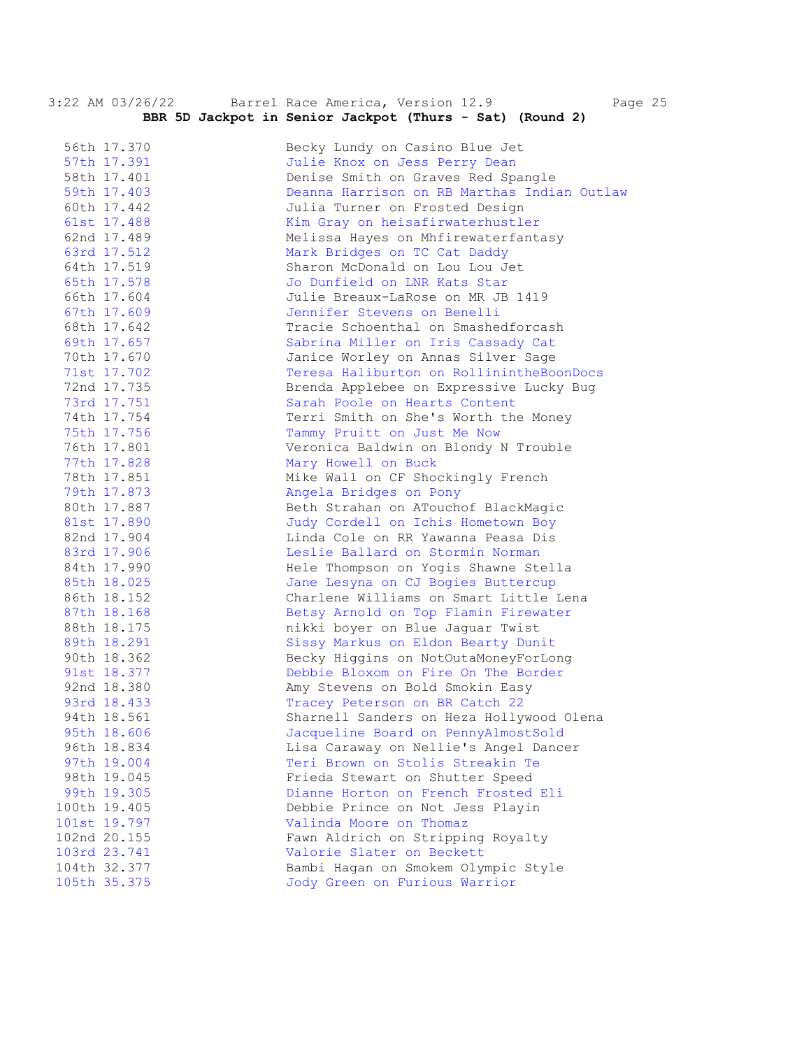|                            |                            | 3:22 AM 03/20/22 Ballel Race America, Version 12.9<br>raye                     |
|----------------------------|----------------------------|--------------------------------------------------------------------------------|
|                            |                            | BBR 5D Jackpot in Senior Jackpot (Thurs - Sat) (Round 2)                       |
|                            |                            |                                                                                |
| 56th 17.370                |                            | Becky Lundy on Casino Blue Jet                                                 |
| 57th 17.391<br>58th 17.401 |                            | Julie Knox on Jess Perry Dean<br>Denise Smith on Graves Red Spangle            |
|                            | 59th 17.403                | Deanna Harrison on RB Marthas Indian Outlaw                                    |
|                            |                            |                                                                                |
| 60th 17.442                |                            | Julia Turner on Frosted Design                                                 |
|                            | 61st 17.488<br>62nd 17.489 | Kim Gray on heisafirwaterhustler                                               |
|                            |                            | Melissa Hayes on Mhfirewaterfantasy                                            |
|                            | 63rd 17.512<br>64th 17.519 | Mark Bridges on TC Cat Daddy<br>Sharon McDonald on Lou Lou Jet                 |
|                            |                            | Jo Dunfield on LNR Kats Star                                                   |
|                            | 65th 17.578<br>66th 17.604 | Julie Breaux-LaRose on MR JB 1419                                              |
|                            | 67th 17.609                | Jennifer Stevens on Benelli                                                    |
| 68th 17.642                |                            | Tracie Schoenthal on Smashedforcash                                            |
|                            |                            |                                                                                |
| 70th 17.670                | 69th 17.657                | Sabrina Miller on Iris Cassady Cat                                             |
|                            | 71st 17.702                | Janice Worley on Annas Silver Sage<br>Teresa Haliburton on RollinintheBoonDocs |
|                            | 72nd 17.735                | Brenda Applebee on Expressive Lucky Bug                                        |
|                            | 73rd 17.751                | Sarah Poole on Hearts Content                                                  |
|                            | 74th 17.754                | Terri Smith on She's Worth the Money                                           |
|                            | 75th 17.756                | Tammy Pruitt on Just Me Now                                                    |
|                            | 76th 17.801                | Veronica Baldwin on Blondy N Trouble                                           |
|                            | 77th 17.828                | Mary Howell on Buck                                                            |
|                            | 78th 17.851                | Mike Wall on CF Shockingly French                                              |
|                            | 79th 17.873                | Angela Bridges on Pony                                                         |
|                            | 80th 17.887                | Beth Strahan on ATouchof BlackMagic                                            |
|                            | 81st 17.890                | Judy Cordell on Ichis Hometown Boy                                             |
|                            | 82nd 17.904                | Linda Cole on RR Yawanna Peasa Dis                                             |
|                            | 83rd 17.906                | Leslie Ballard on Stormin Norman                                               |
|                            | 84th 17.990                | Hele Thompson on Yogis Shawne Stella                                           |
|                            | 85th 18.025                | Jane Lesyna on CJ Bogies Buttercup                                             |
|                            | 86th 18.152                | Charlene Williams on Smart Little Lena                                         |
|                            | 87th 18.168                | Betsy Arnold on Top Flamin Firewater                                           |
|                            | 88th 18.175                | nikki boyer on Blue Jaguar Twist                                               |
|                            | 89th 18.291                | Sissy Markus on Eldon Bearty Dunit                                             |
|                            | 90th 18.362                | Becky Higgins on NotOutaMoneyForLong                                           |
|                            | 91st 18.377                | Debbie Bloxom on Fire On The Border                                            |
| 92nd 18.380                |                            | Amy Stevens on Bold Smokin Easy                                                |
| 93rd 18.433                |                            | Tracey Peterson on BR Catch 22                                                 |
| 94th 18.561                |                            | Sharnell Sanders on Heza Hollywood Olena                                       |
| 95th 18.606                |                            | Jacqueline Board on PennyAlmostSold                                            |
| 96th 18.834                |                            | Lisa Caraway on Nellie's Angel Dancer                                          |
| 97th 19.004                |                            | Teri Brown on Stolis Streakin Te                                               |
| 98th 19.045                |                            | Frieda Stewart on Shutter Speed                                                |
| 99th 19.305                |                            | Dianne Horton on French Frosted Eli                                            |
| 100th 19.405               |                            | Debbie Prince on Not Jess Playin                                               |
| 101st 19.797               |                            | Valinda Moore on Thomaz                                                        |
| 102nd 20.155               |                            | Fawn Aldrich on Stripping Royalty                                              |
| 103rd 23.741               |                            | Valorie Slater on Beckett                                                      |
| 104th 32.377               |                            | Bambi Hagan on Smokem Olympic Style                                            |
| 105th 35.375               |                            | Jody Green on Furious Warrior                                                  |
|                            |                            |                                                                                |

3:22 AM 03/26/22 Barrel Race America, Version 12.9 Page 25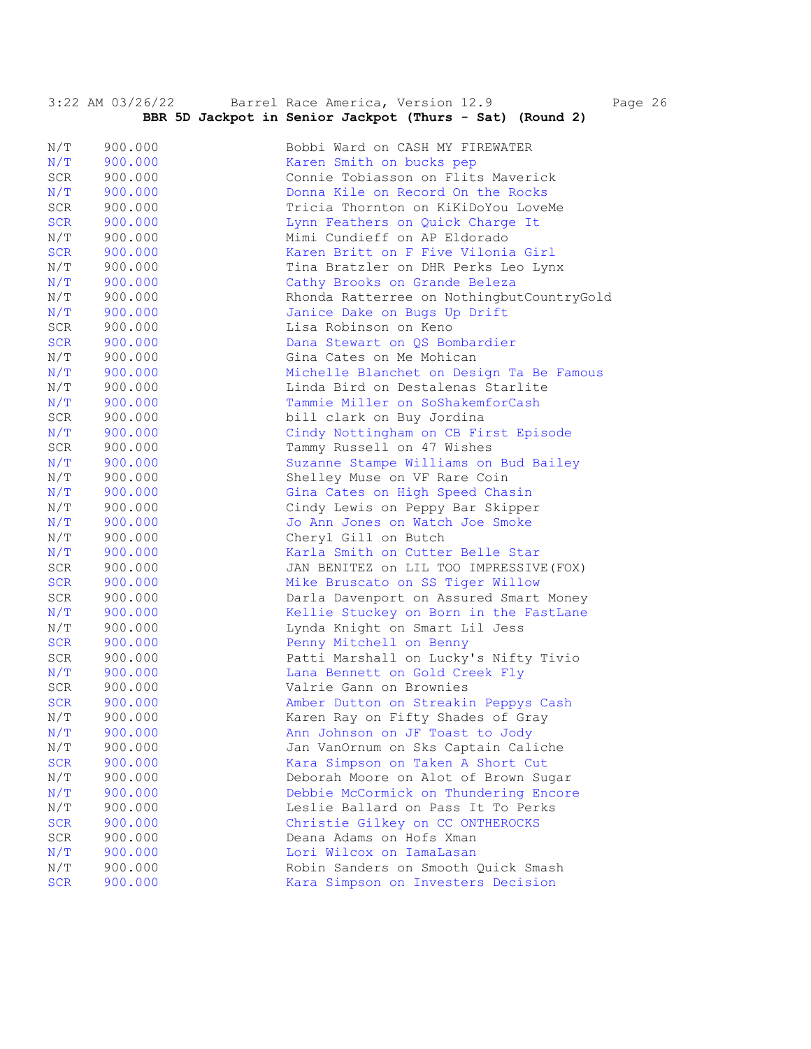|            | 3:22 AM 03/26/22 | Barrel Race America, Version 12.9<br>Page 26<br>BBR 5D Jackpot in Senior Jackpot (Thurs - Sat) (Round 2) |
|------------|------------------|----------------------------------------------------------------------------------------------------------|
|            |                  |                                                                                                          |
| N/T        | 900.000          | Bobbi Ward on CASH MY FIREWATER                                                                          |
| N/T        | 900.000          | Karen Smith on bucks pep                                                                                 |
| SCR        | 900.000          | Connie Tobiasson on Flits Maverick                                                                       |
| N/T        | 900.000          | Donna Kile on Record On the Rocks                                                                        |
| SCR        | 900.000          | Tricia Thornton on KiKiDoYou LoveMe                                                                      |
| <b>SCR</b> | 900.000          | Lynn Feathers on Quick Charge It                                                                         |
| N/T        | 900.000          | Mimi Cundieff on AP Eldorado                                                                             |
| <b>SCR</b> | 900.000          | Karen Britt on F Five Vilonia Girl                                                                       |
| N/T        | 900.000          | Tina Bratzler on DHR Perks Leo Lynx                                                                      |
| N/T        | 900.000          | Cathy Brooks on Grande Beleza                                                                            |
| N/T        | 900.000          | Rhonda Ratterree on NothingbutCountryGold                                                                |
| N/T        | 900.000          | Janice Dake on Bugs Up Drift                                                                             |
| SCR        | 900.000          | Lisa Robinson on Keno                                                                                    |
| <b>SCR</b> | 900.000          | Dana Stewart on QS Bombardier                                                                            |
| N/T        | 900.000          | Gina Cates on Me Mohican                                                                                 |
| N/T        | 900.000          | Michelle Blanchet on Design Ta Be Famous                                                                 |
| N/T        | 900.000          | Linda Bird on Destalenas Starlite                                                                        |
| N/T        | 900.000          | Tammie Miller on SoShakemforCash                                                                         |
| SCR        | 900.000          | bill clark on Buy Jordina                                                                                |
| N/T        | 900.000          | Cindy Nottingham on CB First Episode                                                                     |
| SCR        | 900.000          | Tammy Russell on 47 Wishes                                                                               |
| N/T        | 900.000          | Suzanne Stampe Williams on Bud Bailey                                                                    |
| N/T        | 900.000          | Shelley Muse on VF Rare Coin                                                                             |
| N/T        | 900.000          | Gina Cates on High Speed Chasin                                                                          |
| N/T        | 900.000          | Cindy Lewis on Peppy Bar Skipper                                                                         |
| N/T        | 900.000          | Jo Ann Jones on Watch Joe Smoke                                                                          |
| N/T        | 900.000          | Cheryl Gill on Butch                                                                                     |
| N/T        | 900.000          | Karla Smith on Cutter Belle Star                                                                         |
| SCR        | 900.000          | JAN BENITEZ ON LIL TOO IMPRESSIVE (FOX)                                                                  |
| <b>SCR</b> | 900.000          | Mike Bruscato on SS Tiger Willow                                                                         |
| SCR        | 900.000          | Darla Davenport on Assured Smart Money                                                                   |
| N/T        | 900.000          | Kellie Stuckey on Born in the FastLane                                                                   |
| N/T        | 900.000          | Lynda Knight on Smart Lil Jess                                                                           |
| <b>SCR</b> | 900.000          | Penny Mitchell on Benny                                                                                  |
| SCR        | 900.000          | Patti Marshall on Lucky's Nifty Tivio                                                                    |
| N/T        | 900.000          | Lana Bennett on Gold Creek Fly                                                                           |
| SCR        | 900.000          | Valrie Gann on Brownies                                                                                  |
| <b>SCR</b> | 900.000          | Amber Dutton on Streakin Peppys Cash                                                                     |
| N/T        | 900.000          | Karen Ray on Fifty Shades of Gray                                                                        |
| N/T        | 900.000          | Ann Johnson on JF Toast to Jody                                                                          |
| N/T        | 900.000          | Jan VanOrnum on Sks Captain Caliche                                                                      |
| <b>SCR</b> | 900.000          | Kara Simpson on Taken A Short Cut                                                                        |
| N/T        | 900.000          | Deborah Moore on Alot of Brown Sugar                                                                     |
| N/T        | 900.000          | Debbie McCormick on Thundering Encore                                                                    |
| N/T        | 900.000          | Leslie Ballard on Pass It To Perks                                                                       |
| <b>SCR</b> | 900.000          | Christie Gilkey on CC ONTHEROCKS                                                                         |
| SCR        | 900.000          | Deana Adams on Hofs Xman                                                                                 |
| N/T        | 900.000          | Lori Wilcox on IamaLasan                                                                                 |
| N/T        | 900.000          | Robin Sanders on Smooth Quick Smash                                                                      |
| <b>SCR</b> | 900.000          | Kara Simpson on Investers Decision                                                                       |
|            |                  |                                                                                                          |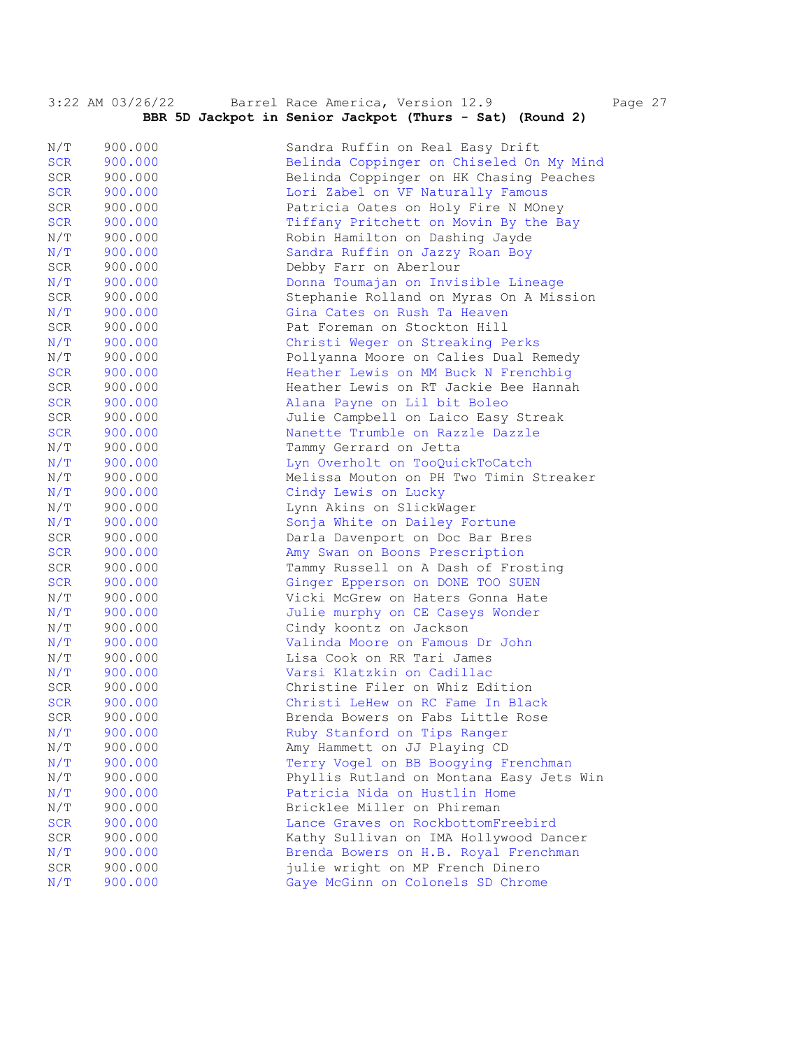| BBR 5D Jackpot in Senior Jackpot (Thurs - Sat) (Round 2)<br>N/T<br>900.000<br>Sandra Ruffin on Real Easy Drift<br><b>SCR</b><br>900.000<br>Belinda Coppinger on Chiseled On My Mind<br>SCR<br>900.000<br>Belinda Coppinger on HK Chasing Peaches<br>Lori Zabel on VF Naturally Famous<br>SCR<br>900.000<br>SCR<br>900.000<br>Patricia Oates on Holy Fire N MOney<br>SCR<br>900.000<br>Tiffany Pritchett on Movin By the Bay<br>N/T<br>900.000<br>Robin Hamilton on Dashing Jayde<br>N/T<br>Sandra Ruffin on Jazzy Roan Boy<br>900.000<br>SCR<br>Debby Farr on Aberlour<br>900.000<br>N/T<br>900.000<br>Donna Toumajan on Invisible Lineage<br>SCR<br>900.000<br>Stephanie Rolland on Myras On A Mission<br>N/T<br>900.000<br>Gina Cates on Rush Ta Heaven<br>SCR<br>Pat Foreman on Stockton Hill<br>900.000<br>N/T<br>Christi Weger on Streaking Perks<br>900.000<br>N/T<br>900.000<br>Pollyanna Moore on Calies Dual Remedy<br><b>SCR</b><br>900.000<br>Heather Lewis on MM Buck N Frenchbig<br>SCR<br>Heather Lewis on RT Jackie Bee Hannah<br>900.000<br>SCR<br>900.000<br>Alana Payne on Lil bit Boleo<br>SCR<br>900.000<br>Julie Campbell on Laico Easy Streak<br><b>SCR</b><br>900.000<br>Nanette Trumble on Razzle Dazzle<br>N/T<br>900.000<br>Tammy Gerrard on Jetta<br>N/T<br>Lyn Overholt on TooQuickToCatch<br>900.000<br>N/T<br>Melissa Mouton on PH Two Timin Streaker<br>900.000<br>N/T<br>Cindy Lewis on Lucky<br>900.000<br>N/T<br>900.000<br>Lynn Akins on SlickWager<br>N/T<br>Sonja White on Dailey Fortune<br>900.000<br>SCR<br>900.000<br>Darla Davenport on Doc Bar Bres<br><b>SCR</b><br>900.000<br>Amy Swan on Boons Prescription<br>SCR<br>900.000<br>Tammy Russell on A Dash of Frosting<br>SCR<br>900.000<br>Ginger Epperson on DONE TOO SUEN<br>N/T<br>Vicki McGrew on Haters Gonna Hate<br>900.000<br>N/T<br>Julie murphy on CE Caseys Wonder<br>900.000<br>N/T<br>Cindy koontz on Jackson<br>900.000<br>N/T<br>900.000<br>Valinda Moore on Famous Dr John<br>N/T<br>Lisa Cook on RR Tari James<br>900.000<br>N/T<br>Varsi Klatzkin on Cadillac<br>900.000<br>Christine Filer on Whiz Edition<br>$\texttt{SCR}$<br>900.000<br><b>SCR</b><br>900.000<br>Christi LeHew on RC Fame In Black<br>900.000<br>Brenda Bowers on Fabs Little Rose<br>SCR<br>N/T<br>Ruby Stanford on Tips Ranger<br>900.000<br>Amy Hammett on JJ Playing CD<br>N/T<br>900.000<br>N/T<br>Terry Vogel on BB Boogying Frenchman<br>900.000 | 3:22 AM 03/26/22 | Barrel Race America, Version 12.9 | Page 27 |
|--------------------------------------------------------------------------------------------------------------------------------------------------------------------------------------------------------------------------------------------------------------------------------------------------------------------------------------------------------------------------------------------------------------------------------------------------------------------------------------------------------------------------------------------------------------------------------------------------------------------------------------------------------------------------------------------------------------------------------------------------------------------------------------------------------------------------------------------------------------------------------------------------------------------------------------------------------------------------------------------------------------------------------------------------------------------------------------------------------------------------------------------------------------------------------------------------------------------------------------------------------------------------------------------------------------------------------------------------------------------------------------------------------------------------------------------------------------------------------------------------------------------------------------------------------------------------------------------------------------------------------------------------------------------------------------------------------------------------------------------------------------------------------------------------------------------------------------------------------------------------------------------------------------------------------------------------------------------------------------------------------------------------------------------------------------------------------------------------------------------------------------------------------------------------------------------------------------------------------------------------------------------------------------------------------------------------------------------------------------------------------------------------------------------------------------------|------------------|-----------------------------------|---------|
|                                                                                                                                                                                                                                                                                                                                                                                                                                                                                                                                                                                                                                                                                                                                                                                                                                                                                                                                                                                                                                                                                                                                                                                                                                                                                                                                                                                                                                                                                                                                                                                                                                                                                                                                                                                                                                                                                                                                                                                                                                                                                                                                                                                                                                                                                                                                                                                                                                            |                  |                                   |         |
|                                                                                                                                                                                                                                                                                                                                                                                                                                                                                                                                                                                                                                                                                                                                                                                                                                                                                                                                                                                                                                                                                                                                                                                                                                                                                                                                                                                                                                                                                                                                                                                                                                                                                                                                                                                                                                                                                                                                                                                                                                                                                                                                                                                                                                                                                                                                                                                                                                            |                  |                                   |         |
|                                                                                                                                                                                                                                                                                                                                                                                                                                                                                                                                                                                                                                                                                                                                                                                                                                                                                                                                                                                                                                                                                                                                                                                                                                                                                                                                                                                                                                                                                                                                                                                                                                                                                                                                                                                                                                                                                                                                                                                                                                                                                                                                                                                                                                                                                                                                                                                                                                            |                  |                                   |         |
|                                                                                                                                                                                                                                                                                                                                                                                                                                                                                                                                                                                                                                                                                                                                                                                                                                                                                                                                                                                                                                                                                                                                                                                                                                                                                                                                                                                                                                                                                                                                                                                                                                                                                                                                                                                                                                                                                                                                                                                                                                                                                                                                                                                                                                                                                                                                                                                                                                            |                  |                                   |         |
|                                                                                                                                                                                                                                                                                                                                                                                                                                                                                                                                                                                                                                                                                                                                                                                                                                                                                                                                                                                                                                                                                                                                                                                                                                                                                                                                                                                                                                                                                                                                                                                                                                                                                                                                                                                                                                                                                                                                                                                                                                                                                                                                                                                                                                                                                                                                                                                                                                            |                  |                                   |         |
|                                                                                                                                                                                                                                                                                                                                                                                                                                                                                                                                                                                                                                                                                                                                                                                                                                                                                                                                                                                                                                                                                                                                                                                                                                                                                                                                                                                                                                                                                                                                                                                                                                                                                                                                                                                                                                                                                                                                                                                                                                                                                                                                                                                                                                                                                                                                                                                                                                            |                  |                                   |         |
|                                                                                                                                                                                                                                                                                                                                                                                                                                                                                                                                                                                                                                                                                                                                                                                                                                                                                                                                                                                                                                                                                                                                                                                                                                                                                                                                                                                                                                                                                                                                                                                                                                                                                                                                                                                                                                                                                                                                                                                                                                                                                                                                                                                                                                                                                                                                                                                                                                            |                  |                                   |         |
|                                                                                                                                                                                                                                                                                                                                                                                                                                                                                                                                                                                                                                                                                                                                                                                                                                                                                                                                                                                                                                                                                                                                                                                                                                                                                                                                                                                                                                                                                                                                                                                                                                                                                                                                                                                                                                                                                                                                                                                                                                                                                                                                                                                                                                                                                                                                                                                                                                            |                  |                                   |         |
|                                                                                                                                                                                                                                                                                                                                                                                                                                                                                                                                                                                                                                                                                                                                                                                                                                                                                                                                                                                                                                                                                                                                                                                                                                                                                                                                                                                                                                                                                                                                                                                                                                                                                                                                                                                                                                                                                                                                                                                                                                                                                                                                                                                                                                                                                                                                                                                                                                            |                  |                                   |         |
|                                                                                                                                                                                                                                                                                                                                                                                                                                                                                                                                                                                                                                                                                                                                                                                                                                                                                                                                                                                                                                                                                                                                                                                                                                                                                                                                                                                                                                                                                                                                                                                                                                                                                                                                                                                                                                                                                                                                                                                                                                                                                                                                                                                                                                                                                                                                                                                                                                            |                  |                                   |         |
|                                                                                                                                                                                                                                                                                                                                                                                                                                                                                                                                                                                                                                                                                                                                                                                                                                                                                                                                                                                                                                                                                                                                                                                                                                                                                                                                                                                                                                                                                                                                                                                                                                                                                                                                                                                                                                                                                                                                                                                                                                                                                                                                                                                                                                                                                                                                                                                                                                            |                  |                                   |         |
|                                                                                                                                                                                                                                                                                                                                                                                                                                                                                                                                                                                                                                                                                                                                                                                                                                                                                                                                                                                                                                                                                                                                                                                                                                                                                                                                                                                                                                                                                                                                                                                                                                                                                                                                                                                                                                                                                                                                                                                                                                                                                                                                                                                                                                                                                                                                                                                                                                            |                  |                                   |         |
|                                                                                                                                                                                                                                                                                                                                                                                                                                                                                                                                                                                                                                                                                                                                                                                                                                                                                                                                                                                                                                                                                                                                                                                                                                                                                                                                                                                                                                                                                                                                                                                                                                                                                                                                                                                                                                                                                                                                                                                                                                                                                                                                                                                                                                                                                                                                                                                                                                            |                  |                                   |         |
|                                                                                                                                                                                                                                                                                                                                                                                                                                                                                                                                                                                                                                                                                                                                                                                                                                                                                                                                                                                                                                                                                                                                                                                                                                                                                                                                                                                                                                                                                                                                                                                                                                                                                                                                                                                                                                                                                                                                                                                                                                                                                                                                                                                                                                                                                                                                                                                                                                            |                  |                                   |         |
|                                                                                                                                                                                                                                                                                                                                                                                                                                                                                                                                                                                                                                                                                                                                                                                                                                                                                                                                                                                                                                                                                                                                                                                                                                                                                                                                                                                                                                                                                                                                                                                                                                                                                                                                                                                                                                                                                                                                                                                                                                                                                                                                                                                                                                                                                                                                                                                                                                            |                  |                                   |         |
|                                                                                                                                                                                                                                                                                                                                                                                                                                                                                                                                                                                                                                                                                                                                                                                                                                                                                                                                                                                                                                                                                                                                                                                                                                                                                                                                                                                                                                                                                                                                                                                                                                                                                                                                                                                                                                                                                                                                                                                                                                                                                                                                                                                                                                                                                                                                                                                                                                            |                  |                                   |         |
|                                                                                                                                                                                                                                                                                                                                                                                                                                                                                                                                                                                                                                                                                                                                                                                                                                                                                                                                                                                                                                                                                                                                                                                                                                                                                                                                                                                                                                                                                                                                                                                                                                                                                                                                                                                                                                                                                                                                                                                                                                                                                                                                                                                                                                                                                                                                                                                                                                            |                  |                                   |         |
|                                                                                                                                                                                                                                                                                                                                                                                                                                                                                                                                                                                                                                                                                                                                                                                                                                                                                                                                                                                                                                                                                                                                                                                                                                                                                                                                                                                                                                                                                                                                                                                                                                                                                                                                                                                                                                                                                                                                                                                                                                                                                                                                                                                                                                                                                                                                                                                                                                            |                  |                                   |         |
|                                                                                                                                                                                                                                                                                                                                                                                                                                                                                                                                                                                                                                                                                                                                                                                                                                                                                                                                                                                                                                                                                                                                                                                                                                                                                                                                                                                                                                                                                                                                                                                                                                                                                                                                                                                                                                                                                                                                                                                                                                                                                                                                                                                                                                                                                                                                                                                                                                            |                  |                                   |         |
|                                                                                                                                                                                                                                                                                                                                                                                                                                                                                                                                                                                                                                                                                                                                                                                                                                                                                                                                                                                                                                                                                                                                                                                                                                                                                                                                                                                                                                                                                                                                                                                                                                                                                                                                                                                                                                                                                                                                                                                                                                                                                                                                                                                                                                                                                                                                                                                                                                            |                  |                                   |         |
|                                                                                                                                                                                                                                                                                                                                                                                                                                                                                                                                                                                                                                                                                                                                                                                                                                                                                                                                                                                                                                                                                                                                                                                                                                                                                                                                                                                                                                                                                                                                                                                                                                                                                                                                                                                                                                                                                                                                                                                                                                                                                                                                                                                                                                                                                                                                                                                                                                            |                  |                                   |         |
|                                                                                                                                                                                                                                                                                                                                                                                                                                                                                                                                                                                                                                                                                                                                                                                                                                                                                                                                                                                                                                                                                                                                                                                                                                                                                                                                                                                                                                                                                                                                                                                                                                                                                                                                                                                                                                                                                                                                                                                                                                                                                                                                                                                                                                                                                                                                                                                                                                            |                  |                                   |         |
|                                                                                                                                                                                                                                                                                                                                                                                                                                                                                                                                                                                                                                                                                                                                                                                                                                                                                                                                                                                                                                                                                                                                                                                                                                                                                                                                                                                                                                                                                                                                                                                                                                                                                                                                                                                                                                                                                                                                                                                                                                                                                                                                                                                                                                                                                                                                                                                                                                            |                  |                                   |         |
|                                                                                                                                                                                                                                                                                                                                                                                                                                                                                                                                                                                                                                                                                                                                                                                                                                                                                                                                                                                                                                                                                                                                                                                                                                                                                                                                                                                                                                                                                                                                                                                                                                                                                                                                                                                                                                                                                                                                                                                                                                                                                                                                                                                                                                                                                                                                                                                                                                            |                  |                                   |         |
|                                                                                                                                                                                                                                                                                                                                                                                                                                                                                                                                                                                                                                                                                                                                                                                                                                                                                                                                                                                                                                                                                                                                                                                                                                                                                                                                                                                                                                                                                                                                                                                                                                                                                                                                                                                                                                                                                                                                                                                                                                                                                                                                                                                                                                                                                                                                                                                                                                            |                  |                                   |         |
|                                                                                                                                                                                                                                                                                                                                                                                                                                                                                                                                                                                                                                                                                                                                                                                                                                                                                                                                                                                                                                                                                                                                                                                                                                                                                                                                                                                                                                                                                                                                                                                                                                                                                                                                                                                                                                                                                                                                                                                                                                                                                                                                                                                                                                                                                                                                                                                                                                            |                  |                                   |         |
|                                                                                                                                                                                                                                                                                                                                                                                                                                                                                                                                                                                                                                                                                                                                                                                                                                                                                                                                                                                                                                                                                                                                                                                                                                                                                                                                                                                                                                                                                                                                                                                                                                                                                                                                                                                                                                                                                                                                                                                                                                                                                                                                                                                                                                                                                                                                                                                                                                            |                  |                                   |         |
|                                                                                                                                                                                                                                                                                                                                                                                                                                                                                                                                                                                                                                                                                                                                                                                                                                                                                                                                                                                                                                                                                                                                                                                                                                                                                                                                                                                                                                                                                                                                                                                                                                                                                                                                                                                                                                                                                                                                                                                                                                                                                                                                                                                                                                                                                                                                                                                                                                            |                  |                                   |         |
|                                                                                                                                                                                                                                                                                                                                                                                                                                                                                                                                                                                                                                                                                                                                                                                                                                                                                                                                                                                                                                                                                                                                                                                                                                                                                                                                                                                                                                                                                                                                                                                                                                                                                                                                                                                                                                                                                                                                                                                                                                                                                                                                                                                                                                                                                                                                                                                                                                            |                  |                                   |         |
|                                                                                                                                                                                                                                                                                                                                                                                                                                                                                                                                                                                                                                                                                                                                                                                                                                                                                                                                                                                                                                                                                                                                                                                                                                                                                                                                                                                                                                                                                                                                                                                                                                                                                                                                                                                                                                                                                                                                                                                                                                                                                                                                                                                                                                                                                                                                                                                                                                            |                  |                                   |         |
|                                                                                                                                                                                                                                                                                                                                                                                                                                                                                                                                                                                                                                                                                                                                                                                                                                                                                                                                                                                                                                                                                                                                                                                                                                                                                                                                                                                                                                                                                                                                                                                                                                                                                                                                                                                                                                                                                                                                                                                                                                                                                                                                                                                                                                                                                                                                                                                                                                            |                  |                                   |         |
|                                                                                                                                                                                                                                                                                                                                                                                                                                                                                                                                                                                                                                                                                                                                                                                                                                                                                                                                                                                                                                                                                                                                                                                                                                                                                                                                                                                                                                                                                                                                                                                                                                                                                                                                                                                                                                                                                                                                                                                                                                                                                                                                                                                                                                                                                                                                                                                                                                            |                  |                                   |         |
|                                                                                                                                                                                                                                                                                                                                                                                                                                                                                                                                                                                                                                                                                                                                                                                                                                                                                                                                                                                                                                                                                                                                                                                                                                                                                                                                                                                                                                                                                                                                                                                                                                                                                                                                                                                                                                                                                                                                                                                                                                                                                                                                                                                                                                                                                                                                                                                                                                            |                  |                                   |         |
|                                                                                                                                                                                                                                                                                                                                                                                                                                                                                                                                                                                                                                                                                                                                                                                                                                                                                                                                                                                                                                                                                                                                                                                                                                                                                                                                                                                                                                                                                                                                                                                                                                                                                                                                                                                                                                                                                                                                                                                                                                                                                                                                                                                                                                                                                                                                                                                                                                            |                  |                                   |         |
|                                                                                                                                                                                                                                                                                                                                                                                                                                                                                                                                                                                                                                                                                                                                                                                                                                                                                                                                                                                                                                                                                                                                                                                                                                                                                                                                                                                                                                                                                                                                                                                                                                                                                                                                                                                                                                                                                                                                                                                                                                                                                                                                                                                                                                                                                                                                                                                                                                            |                  |                                   |         |
|                                                                                                                                                                                                                                                                                                                                                                                                                                                                                                                                                                                                                                                                                                                                                                                                                                                                                                                                                                                                                                                                                                                                                                                                                                                                                                                                                                                                                                                                                                                                                                                                                                                                                                                                                                                                                                                                                                                                                                                                                                                                                                                                                                                                                                                                                                                                                                                                                                            |                  |                                   |         |
|                                                                                                                                                                                                                                                                                                                                                                                                                                                                                                                                                                                                                                                                                                                                                                                                                                                                                                                                                                                                                                                                                                                                                                                                                                                                                                                                                                                                                                                                                                                                                                                                                                                                                                                                                                                                                                                                                                                                                                                                                                                                                                                                                                                                                                                                                                                                                                                                                                            |                  |                                   |         |
|                                                                                                                                                                                                                                                                                                                                                                                                                                                                                                                                                                                                                                                                                                                                                                                                                                                                                                                                                                                                                                                                                                                                                                                                                                                                                                                                                                                                                                                                                                                                                                                                                                                                                                                                                                                                                                                                                                                                                                                                                                                                                                                                                                                                                                                                                                                                                                                                                                            |                  |                                   |         |
|                                                                                                                                                                                                                                                                                                                                                                                                                                                                                                                                                                                                                                                                                                                                                                                                                                                                                                                                                                                                                                                                                                                                                                                                                                                                                                                                                                                                                                                                                                                                                                                                                                                                                                                                                                                                                                                                                                                                                                                                                                                                                                                                                                                                                                                                                                                                                                                                                                            |                  |                                   |         |
|                                                                                                                                                                                                                                                                                                                                                                                                                                                                                                                                                                                                                                                                                                                                                                                                                                                                                                                                                                                                                                                                                                                                                                                                                                                                                                                                                                                                                                                                                                                                                                                                                                                                                                                                                                                                                                                                                                                                                                                                                                                                                                                                                                                                                                                                                                                                                                                                                                            |                  |                                   |         |
|                                                                                                                                                                                                                                                                                                                                                                                                                                                                                                                                                                                                                                                                                                                                                                                                                                                                                                                                                                                                                                                                                                                                                                                                                                                                                                                                                                                                                                                                                                                                                                                                                                                                                                                                                                                                                                                                                                                                                                                                                                                                                                                                                                                                                                                                                                                                                                                                                                            |                  |                                   |         |
|                                                                                                                                                                                                                                                                                                                                                                                                                                                                                                                                                                                                                                                                                                                                                                                                                                                                                                                                                                                                                                                                                                                                                                                                                                                                                                                                                                                                                                                                                                                                                                                                                                                                                                                                                                                                                                                                                                                                                                                                                                                                                                                                                                                                                                                                                                                                                                                                                                            |                  |                                   |         |
|                                                                                                                                                                                                                                                                                                                                                                                                                                                                                                                                                                                                                                                                                                                                                                                                                                                                                                                                                                                                                                                                                                                                                                                                                                                                                                                                                                                                                                                                                                                                                                                                                                                                                                                                                                                                                                                                                                                                                                                                                                                                                                                                                                                                                                                                                                                                                                                                                                            |                  |                                   |         |
| N/T<br>Phyllis Rutland on Montana Easy Jets Win<br>900.000                                                                                                                                                                                                                                                                                                                                                                                                                                                                                                                                                                                                                                                                                                                                                                                                                                                                                                                                                                                                                                                                                                                                                                                                                                                                                                                                                                                                                                                                                                                                                                                                                                                                                                                                                                                                                                                                                                                                                                                                                                                                                                                                                                                                                                                                                                                                                                                 |                  |                                   |         |
| Patricia Nida on Hustlin Home<br>N/T<br>900.000                                                                                                                                                                                                                                                                                                                                                                                                                                                                                                                                                                                                                                                                                                                                                                                                                                                                                                                                                                                                                                                                                                                                                                                                                                                                                                                                                                                                                                                                                                                                                                                                                                                                                                                                                                                                                                                                                                                                                                                                                                                                                                                                                                                                                                                                                                                                                                                            |                  |                                   |         |
| Bricklee Miller on Phireman<br>N/T<br>900.000                                                                                                                                                                                                                                                                                                                                                                                                                                                                                                                                                                                                                                                                                                                                                                                                                                                                                                                                                                                                                                                                                                                                                                                                                                                                                                                                                                                                                                                                                                                                                                                                                                                                                                                                                                                                                                                                                                                                                                                                                                                                                                                                                                                                                                                                                                                                                                                              |                  |                                   |         |
| <b>SCR</b><br>900.000<br>Lance Graves on RockbottomFreebird                                                                                                                                                                                                                                                                                                                                                                                                                                                                                                                                                                                                                                                                                                                                                                                                                                                                                                                                                                                                                                                                                                                                                                                                                                                                                                                                                                                                                                                                                                                                                                                                                                                                                                                                                                                                                                                                                                                                                                                                                                                                                                                                                                                                                                                                                                                                                                                |                  |                                   |         |
| 900.000<br>Kathy Sullivan on IMA Hollywood Dancer<br>SCR                                                                                                                                                                                                                                                                                                                                                                                                                                                                                                                                                                                                                                                                                                                                                                                                                                                                                                                                                                                                                                                                                                                                                                                                                                                                                                                                                                                                                                                                                                                                                                                                                                                                                                                                                                                                                                                                                                                                                                                                                                                                                                                                                                                                                                                                                                                                                                                   |                  |                                   |         |
| N/T<br>900.000<br>Brenda Bowers on H.B. Royal Frenchman                                                                                                                                                                                                                                                                                                                                                                                                                                                                                                                                                                                                                                                                                                                                                                                                                                                                                                                                                                                                                                                                                                                                                                                                                                                                                                                                                                                                                                                                                                                                                                                                                                                                                                                                                                                                                                                                                                                                                                                                                                                                                                                                                                                                                                                                                                                                                                                    |                  |                                   |         |
| julie wright on MP French Dinero<br>SCR<br>900.000                                                                                                                                                                                                                                                                                                                                                                                                                                                                                                                                                                                                                                                                                                                                                                                                                                                                                                                                                                                                                                                                                                                                                                                                                                                                                                                                                                                                                                                                                                                                                                                                                                                                                                                                                                                                                                                                                                                                                                                                                                                                                                                                                                                                                                                                                                                                                                                         |                  |                                   |         |
| Gaye McGinn on Colonels SD Chrome<br>N/T<br>900.000                                                                                                                                                                                                                                                                                                                                                                                                                                                                                                                                                                                                                                                                                                                                                                                                                                                                                                                                                                                                                                                                                                                                                                                                                                                                                                                                                                                                                                                                                                                                                                                                                                                                                                                                                                                                                                                                                                                                                                                                                                                                                                                                                                                                                                                                                                                                                                                        |                  |                                   |         |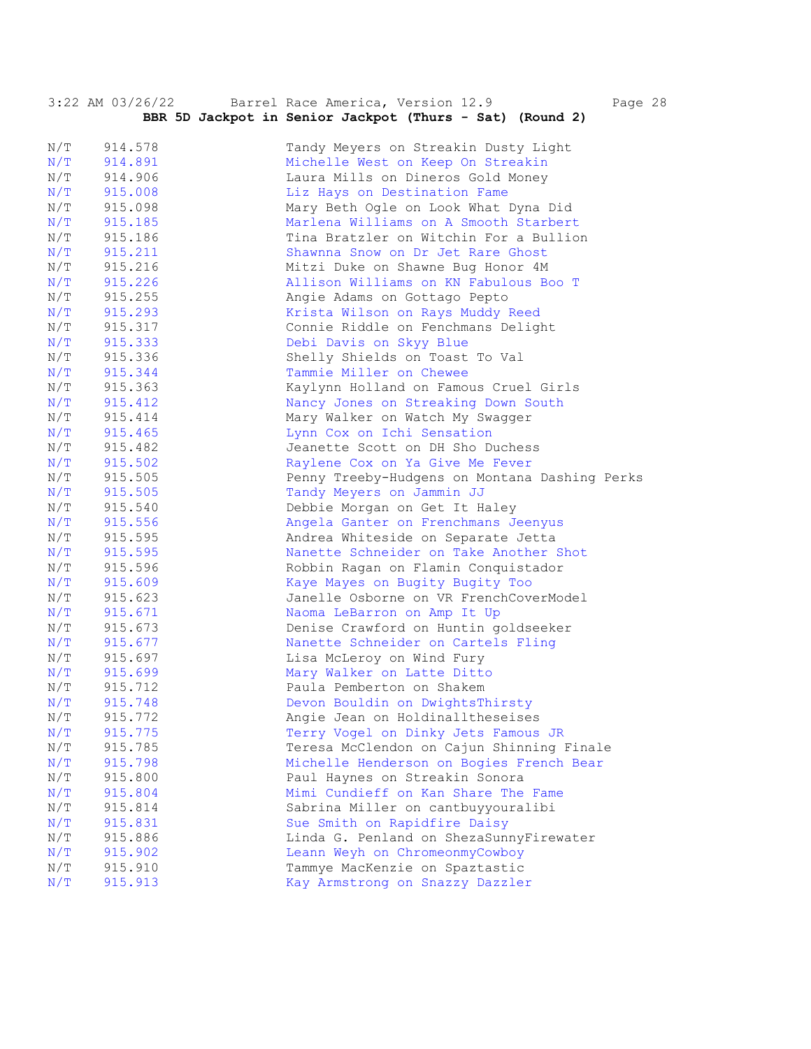|            | $3:22$ AM $03/26/22$ | Barrel Race America, Version 12.9<br>Page 28                               |
|------------|----------------------|----------------------------------------------------------------------------|
|            |                      | BBR 5D Jackpot in Senior Jackpot (Thurs - Sat) (Round 2)                   |
|            |                      |                                                                            |
| N/T        | 914.578              | Tandy Meyers on Streakin Dusty Light                                       |
| N/T        | 914.891              | Michelle West on Keep On Streakin                                          |
| N/T        | 914.906              | Laura Mills on Dineros Gold Money                                          |
| N/T        | 915.008              | Liz Hays on Destination Fame                                               |
| N/T        | 915.098              | Mary Beth Ogle on Look What Dyna Did                                       |
| N/T        | 915.185              | Marlena Williams on A Smooth Starbert                                      |
| N/T        | 915.186              | Tina Bratzler on Witchin For a Bullion                                     |
| N/T        | 915.211              | Shawnna Snow on Dr Jet Rare Ghost                                          |
| N/T        | 915.216              | Mitzi Duke on Shawne Bug Honor 4M                                          |
| N/T        | 915.226              | Allison Williams on KN Fabulous Boo T                                      |
| N/T        | 915.255              | Angie Adams on Gottago Pepto                                               |
| N/T        | 915.293              | Krista Wilson on Rays Muddy Reed                                           |
| N/T        | 915.317              | Connie Riddle on Fenchmans Delight                                         |
| N/T        | 915.333              | Debi Davis on Skyy Blue                                                    |
| N/T        | 915.336              | Shelly Shields on Toast To Val                                             |
| N/T        | 915.344              | Tammie Miller on Chewee                                                    |
| N/T        | 915.363              | Kaylynn Holland on Famous Cruel Girls                                      |
| N/T        | 915.412              | Nancy Jones on Streaking Down South                                        |
| N/T        | 915.414              | Mary Walker on Watch My Swagger                                            |
| N/T        | 915.465              | Lynn Cox on Ichi Sensation                                                 |
| N/T        | 915.482              | Jeanette Scott on DH Sho Duchess                                           |
| N/T        | 915.502              | Raylene Cox on Ya Give Me Fever                                            |
| N/T        | 915.505              | Penny Treeby-Hudgens on Montana Dashing Perks                              |
| N/T        | 915.505              | Tandy Meyers on Jammin JJ                                                  |
| N/T        | 915.540              | Debbie Morgan on Get It Haley                                              |
| N/T        | 915.556              | Angela Ganter on Frenchmans Jeenyus                                        |
| N/T        | 915.595              | Andrea Whiteside on Separate Jetta                                         |
| N/T        | 915.595              | Nanette Schneider on Take Another Shot                                     |
| N/T        | 915.596              | Robbin Ragan on Flamin Conquistador                                        |
| N/T        | 915.609              | Kaye Mayes on Bugity Bugity Too                                            |
| N/T        | 915.623              | Janelle Osborne on VR FrenchCoverModel                                     |
| N/T        | 915.671              | Naoma LeBarron on Amp It Up                                                |
| N/T        | 915.673              | Denise Crawford on Huntin goldseeker                                       |
| N/T        | 915.677              | Nanette Schneider on Cartels Fling                                         |
| N/T        | 915.697              | Lisa McLeroy on Wind Fury<br>Mary Walker on Latte Ditto                    |
| N/T        | 915.699              |                                                                            |
| N/T        | 915.712              | Paula Pemberton on Shakem                                                  |
| N/T<br>N/T | 915.748<br>915.772   | Devon Bouldin on DwightsThirsty<br>Angie Jean on Holdinalltheseises        |
| N/T        |                      | Terry Vogel on Dinky Jets Famous JR                                        |
| N/T        | 915.775<br>915.785   | Teresa McClendon on Cajun Shinning Finale                                  |
| N/T        |                      |                                                                            |
| N/T        | 915.798<br>915.800   | Michelle Henderson on Bogies French Bear<br>Paul Haynes on Streakin Sonora |
| N/T        | 915.804              | Mimi Cundieff on Kan Share The Fame                                        |
| N/T        | 915.814              | Sabrina Miller on cantbuyyouralibi                                         |
| N/T        | 915.831              | Sue Smith on Rapidfire Daisy                                               |
| N/T        | 915.886              | Linda G. Penland on ShezaSunnyFirewater                                    |
| N/T        | 915.902              | Leann Weyh on ChromeonmyCowboy                                             |
| N/T        | 915.910              | Tammye MacKenzie on Spaztastic                                             |
| N/T        | 915.913              | Kay Armstrong on Snazzy Dazzler                                            |
|            |                      |                                                                            |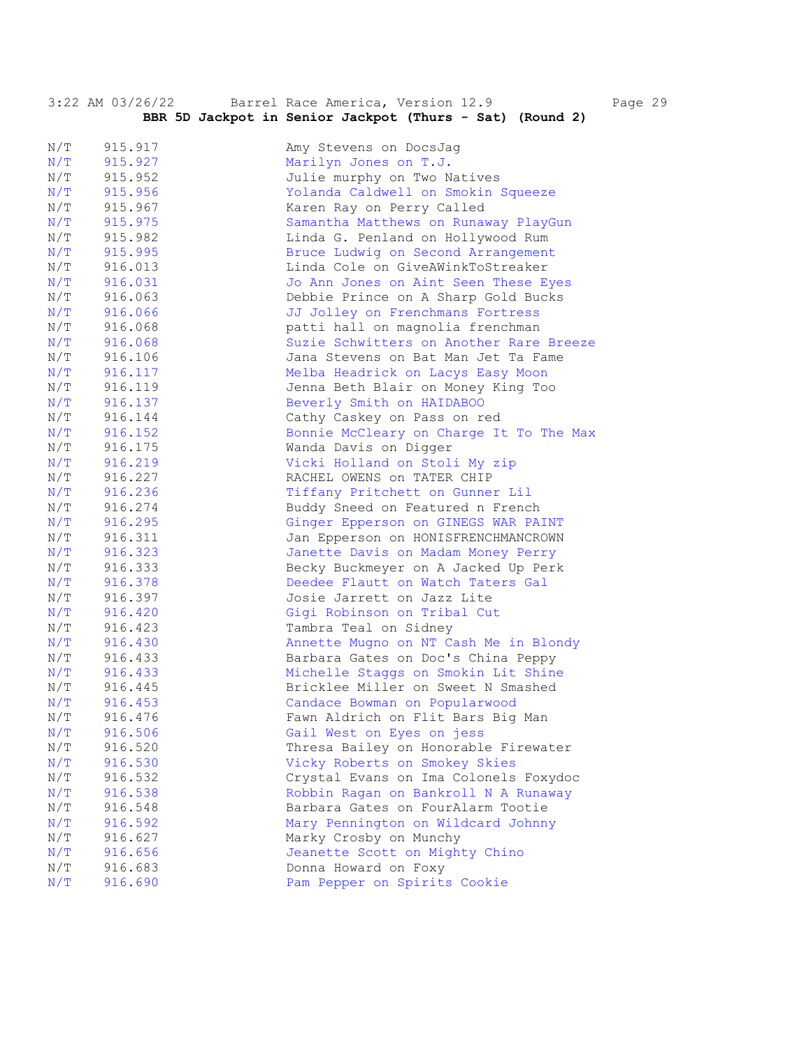|     | 3:22 AM 03/26/22 | Barrel Race America, Version 12.9                        | Page 29 |  |
|-----|------------------|----------------------------------------------------------|---------|--|
|     |                  | BBR 5D Jackpot in Senior Jackpot (Thurs - Sat) (Round 2) |         |  |
|     |                  |                                                          |         |  |
| N/T | 915.917          | Amy Stevens on DocsJag                                   |         |  |
| N/T | 915.927          | Marilyn Jones on T.J.                                    |         |  |
| N/T | 915.952          | Julie murphy on Two Natives                              |         |  |
| N/T | 915.956          | Yolanda Caldwell on Smokin Squeeze                       |         |  |
| N/T | 915.967          | Karen Ray on Perry Called                                |         |  |
| N/T | 915.975          | Samantha Matthews on Runaway PlayGun                     |         |  |
| N/T | 915.982          | Linda G. Penland on Hollywood Rum                        |         |  |
| N/T | 915.995          | Bruce Ludwig on Second Arrangement                       |         |  |
| N/T | 916.013          | Linda Cole on GiveAWinkToStreaker                        |         |  |
| N/T | 916.031          | Jo Ann Jones on Aint Seen These Eyes                     |         |  |
| N/T | 916.063          | Debbie Prince on A Sharp Gold Bucks                      |         |  |
| N/T | 916.066          | JJ Jolley on Frenchmans Fortress                         |         |  |
| N/T | 916.068          | patti hall on magnolia frenchman                         |         |  |
| N/T | 916.068          | Suzie Schwitters on Another Rare Breeze                  |         |  |
| N/T | 916.106          | Jana Stevens on Bat Man Jet Ta Fame                      |         |  |
| N/T | 916.117          | Melba Headrick on Lacys Easy Moon                        |         |  |
| N/T | 916.119          | Jenna Beth Blair on Money King Too                       |         |  |
| N/T | 916.137          | Beverly Smith on HAIDABOO                                |         |  |
| N/T | 916.144          | Cathy Caskey on Pass on red                              |         |  |
| N/T | 916.152          | Bonnie McCleary on Charge It To The Max                  |         |  |
| N/T | 916.175          | Wanda Davis on Digger                                    |         |  |
| N/T | 916.219          | Vicki Holland on Stoli My zip                            |         |  |
| N/T | 916.227          | RACHEL OWENS ON TATER CHIP                               |         |  |
| N/T | 916.236          | Tiffany Pritchett on Gunner Lil                          |         |  |
| N/T | 916.274          | Buddy Sneed on Featured n French                         |         |  |
| N/T | 916.295          | Ginger Epperson on GINEGS WAR PAINT                      |         |  |
| N/T | 916.311          | Jan Epperson on HONISFRENCHMANCROWN                      |         |  |
| N/T | 916.323          | Janette Davis on Madam Money Perry                       |         |  |
| N/T | 916.333          | Becky Buckmeyer on A Jacked Up Perk                      |         |  |
| N/T | 916.378          | Deedee Flautt on Watch Taters Gal                        |         |  |
| N/T | 916.397          | Josie Jarrett on Jazz Lite                               |         |  |
| N/T | 916.420          | Gigi Robinson on Tribal Cut                              |         |  |
| N/T | 916.423          | Tambra Teal on Sidney                                    |         |  |
| N/T | 916.430          | Annette Mugno on NT Cash Me in Blondy                    |         |  |
| N/T | 916.433          | Barbara Gates on Doc's China Peppy                       |         |  |
| N/T | 916.433          | Michelle Staggs on Smokin Lit Shine                      |         |  |
| N/T | 916.445          | Bricklee Miller on Sweet N Smashed                       |         |  |
| N/T | 916.453          | Candace Bowman on Popularwood                            |         |  |
| N/T | 916.476          | Fawn Aldrich on Flit Bars Big Man                        |         |  |
| N/T | 916.506          | Gail West on Eyes on jess                                |         |  |
| N/T | 916.520          | Thresa Bailey on Honorable Firewater                     |         |  |
| N/T | 916.530          | Vicky Roberts on Smokey Skies                            |         |  |
| N/T | 916.532          | Crystal Evans on Ima Colonels Foxydoc                    |         |  |
| N/T | 916.538          | Robbin Ragan on Bankroll N A Runaway                     |         |  |
| N/T | 916.548          | Barbara Gates on FourAlarm Tootie                        |         |  |
| N/T | 916.592          | Mary Pennington on Wildcard Johnny                       |         |  |
| N/T | 916.627          | Marky Crosby on Munchy                                   |         |  |
| N/T | 916.656          | Jeanette Scott on Mighty Chino                           |         |  |
| N/T | 916.683          | Donna Howard on Foxy                                     |         |  |
| N/T | 916.690          | Pam Pepper on Spirits Cookie                             |         |  |